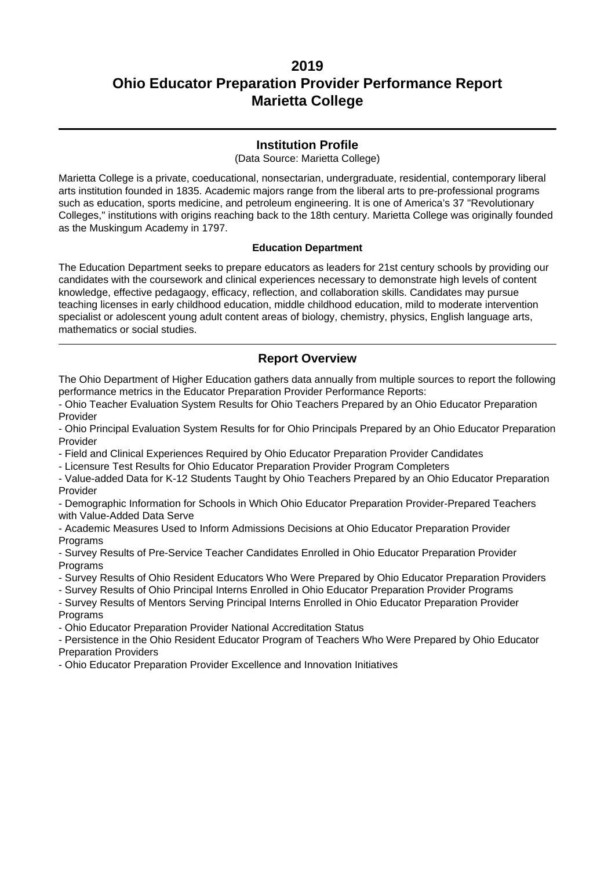### **Institution Profile**

(Data Source: Marietta College)

Marietta College is a private, coeducational, nonsectarian, undergraduate, residential, contemporary liberal arts institution founded in 1835. Academic majors range from the liberal arts to pre-professional programs such as education, sports medicine, and petroleum engineering. It is one of America's 37 "Revolutionary Colleges," institutions with origins reaching back to the 18th century. Marietta College was originally founded as the Muskingum Academy in 1797.

#### **Education Department**

The Education Department seeks to prepare educators as leaders for 21st century schools by providing our candidates with the coursework and clinical experiences necessary to demonstrate high levels of content knowledge, effective pedagaogy, efficacy, reflection, and collaboration skills. Candidates may pursue teaching licenses in early childhood education, middle childhood education, mild to moderate intervention specialist or adolescent young adult content areas of biology, chemistry, physics, English language arts, mathematics or social studies.

### **Report Overview**

The Ohio Department of Higher Education gathers data annually from multiple sources to report the following performance metrics in the Educator Preparation Provider Performance Reports:

- Ohio Teacher Evaluation System Results for Ohio Teachers Prepared by an Ohio Educator Preparation Provider

- Ohio Principal Evaluation System Results for for Ohio Principals Prepared by an Ohio Educator Preparation Provider

- Field and Clinical Experiences Required by Ohio Educator Preparation Provider Candidates

- Licensure Test Results for Ohio Educator Preparation Provider Program Completers

- Value-added Data for K-12 Students Taught by Ohio Teachers Prepared by an Ohio Educator Preparation Provider

- Demographic Information for Schools in Which Ohio Educator Preparation Provider-Prepared Teachers with Value-Added Data Serve

- Academic Measures Used to Inform Admissions Decisions at Ohio Educator Preparation Provider **Programs** 

- Survey Results of Pre-Service Teacher Candidates Enrolled in Ohio Educator Preparation Provider **Programs** 

- Survey Results of Ohio Resident Educators Who Were Prepared by Ohio Educator Preparation Providers

- Survey Results of Ohio Principal Interns Enrolled in Ohio Educator Preparation Provider Programs

- Survey Results of Mentors Serving Principal Interns Enrolled in Ohio Educator Preparation Provider **Programs** 

- Ohio Educator Preparation Provider National Accreditation Status

- Persistence in the Ohio Resident Educator Program of Teachers Who Were Prepared by Ohio Educator Preparation Providers

- Ohio Educator Preparation Provider Excellence and Innovation Initiatives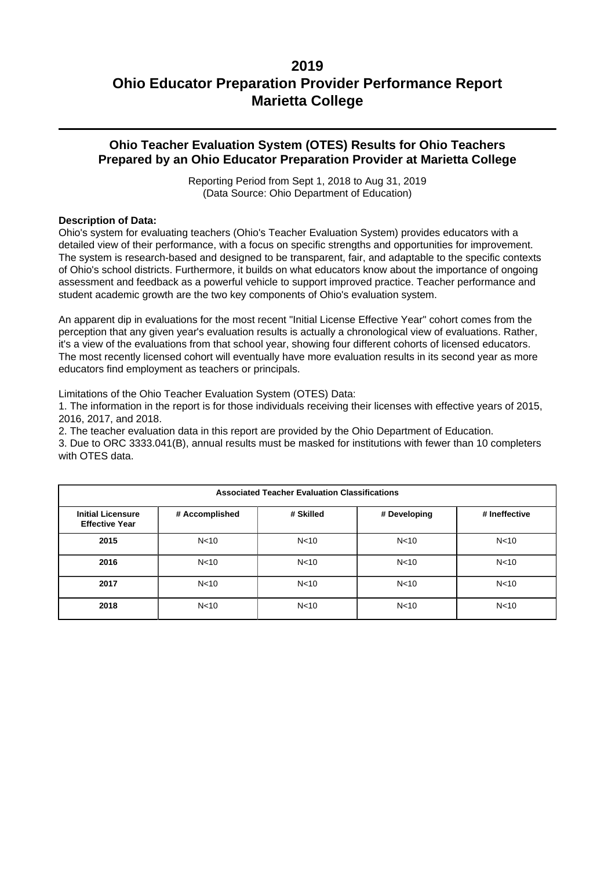### **Ohio Teacher Evaluation System (OTES) Results for Ohio Teachers Prepared by an Ohio Educator Preparation Provider at Marietta College**

Reporting Period from Sept 1, 2018 to Aug 31, 2019 (Data Source: Ohio Department of Education)

#### **Description of Data:**

Ohio's system for evaluating teachers (Ohio's Teacher Evaluation System) provides educators with a detailed view of their performance, with a focus on specific strengths and opportunities for improvement. The system is research-based and designed to be transparent, fair, and adaptable to the specific contexts of Ohio's school districts. Furthermore, it builds on what educators know about the importance of ongoing assessment and feedback as a powerful vehicle to support improved practice. Teacher performance and student academic growth are the two key components of Ohio's evaluation system.

An apparent dip in evaluations for the most recent "Initial License Effective Year" cohort comes from the perception that any given year's evaluation results is actually a chronological view of evaluations. Rather, it's a view of the evaluations from that school year, showing four different cohorts of licensed educators. The most recently licensed cohort will eventually have more evaluation results in its second year as more educators find employment as teachers or principals.

Limitations of the Ohio Teacher Evaluation System (OTES) Data:

1. The information in the report is for those individuals receiving their licenses with effective years of 2015, 2016, 2017, and 2018.

2. The teacher evaluation data in this report are provided by the Ohio Department of Education.

3. Due to ORC 3333.041(B), annual results must be masked for institutions with fewer than 10 completers with OTES data.

| <b>Associated Teacher Evaluation Classifications</b> |                 |                 |                 |                 |  |  |
|------------------------------------------------------|-----------------|-----------------|-----------------|-----------------|--|--|
| <b>Initial Licensure</b><br><b>Effective Year</b>    | # Accomplished  | # Skilled       | # Developing    | # Ineffective   |  |  |
| 2015                                                 | N <sub>10</sub> | N <sub>10</sub> | N <sub>10</sub> | N <sub>10</sub> |  |  |
| 2016                                                 | N <sub>10</sub> | N < 10          | N <sub>10</sub> | N <sub>10</sub> |  |  |
| 2017                                                 | N <sub>10</sub> | N <sub>10</sub> | N <sub>10</sub> | N <sub>10</sub> |  |  |
| 2018                                                 | N <sub>10</sub> | N <sub>10</sub> | N <sub>10</sub> | N <sub>10</sub> |  |  |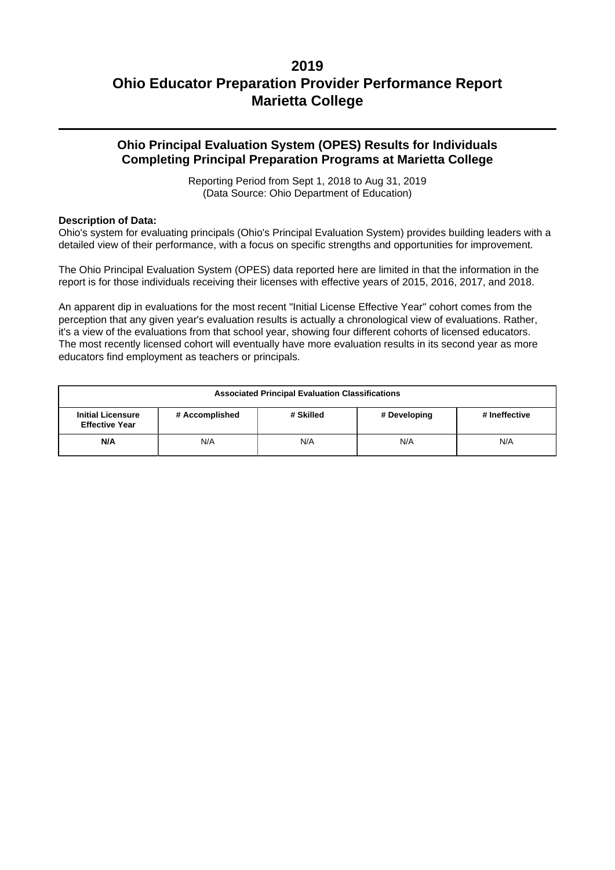## **Ohio Principal Evaluation System (OPES) Results for Individuals Completing Principal Preparation Programs at Marietta College**

Reporting Period from Sept 1, 2018 to Aug 31, 2019 (Data Source: Ohio Department of Education)

#### **Description of Data:**

Ohio's system for evaluating principals (Ohio's Principal Evaluation System) provides building leaders with a detailed view of their performance, with a focus on specific strengths and opportunities for improvement.

The Ohio Principal Evaluation System (OPES) data reported here are limited in that the information in the report is for those individuals receiving their licenses with effective years of 2015, 2016, 2017, and 2018.

An apparent dip in evaluations for the most recent "Initial License Effective Year" cohort comes from the perception that any given year's evaluation results is actually a chronological view of evaluations. Rather, it's a view of the evaluations from that school year, showing four different cohorts of licensed educators. The most recently licensed cohort will eventually have more evaluation results in its second year as more educators find employment as teachers or principals.

| <b>Associated Principal Evaluation Classifications</b>                                                            |  |  |  |  |  |
|-------------------------------------------------------------------------------------------------------------------|--|--|--|--|--|
| <b>Initial Licensure</b><br># Accomplished<br># Skilled<br># Ineffective<br># Developing<br><b>Effective Year</b> |  |  |  |  |  |
| N/A<br>N/A<br>N/A<br>N/A<br>N/A                                                                                   |  |  |  |  |  |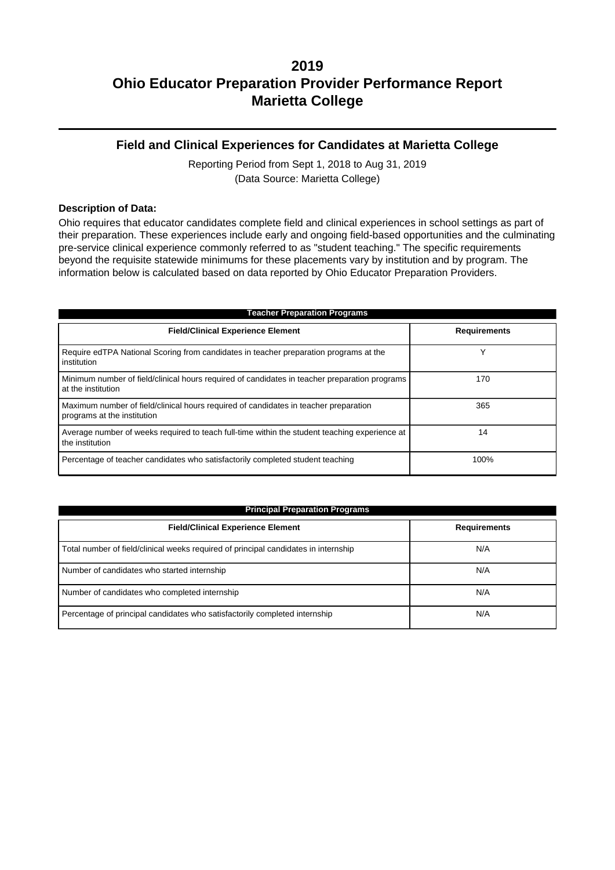### **Field and Clinical Experiences for Candidates at Marietta College**

Reporting Period from Sept 1, 2018 to Aug 31, 2019 (Data Source: Marietta College)

#### **Description of Data:**

Ohio requires that educator candidates complete field and clinical experiences in school settings as part of their preparation. These experiences include early and ongoing field-based opportunities and the culminating pre-service clinical experience commonly referred to as "student teaching." The specific requirements beyond the requisite statewide minimums for these placements vary by institution and by program. The information below is calculated based on data reported by Ohio Educator Preparation Providers.

| <b>Teacher Preparation Programs</b>                                                                                 |                     |  |  |  |  |
|---------------------------------------------------------------------------------------------------------------------|---------------------|--|--|--|--|
| <b>Field/Clinical Experience Element</b>                                                                            | <b>Requirements</b> |  |  |  |  |
| Require edTPA National Scoring from candidates in teacher preparation programs at the<br>institution                |                     |  |  |  |  |
| Minimum number of field/clinical hours required of candidates in teacher preparation programs<br>at the institution | 170                 |  |  |  |  |
| Maximum number of field/clinical hours required of candidates in teacher preparation<br>programs at the institution | 365                 |  |  |  |  |
| Average number of weeks required to teach full-time within the student teaching experience at<br>the institution    | 14                  |  |  |  |  |
| Percentage of teacher candidates who satisfactorily completed student teaching                                      | 100%                |  |  |  |  |

| <b>Principal Preparation Programs</b>                                               |                     |  |  |  |  |
|-------------------------------------------------------------------------------------|---------------------|--|--|--|--|
| <b>Field/Clinical Experience Element</b>                                            | <b>Requirements</b> |  |  |  |  |
| Total number of field/clinical weeks required of principal candidates in internship | N/A                 |  |  |  |  |
| Number of candidates who started internship                                         | N/A                 |  |  |  |  |
| Number of candidates who completed internship                                       | N/A                 |  |  |  |  |
| Percentage of principal candidates who satisfactorily completed internship          | N/A                 |  |  |  |  |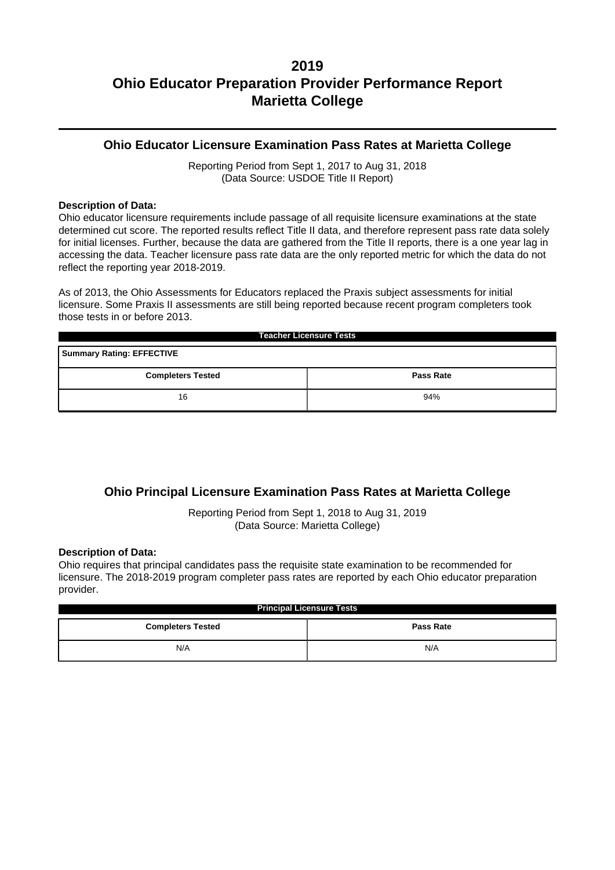### **Ohio Educator Licensure Examination Pass Rates at Marietta College**

Reporting Period from Sept 1, 2017 to Aug 31, 2018 (Data Source: USDOE Title II Report)

#### **Description of Data:**

Ohio educator licensure requirements include passage of all requisite licensure examinations at the state determined cut score. The reported results reflect Title II data, and therefore represent pass rate data solely for initial licenses. Further, because the data are gathered from the Title II reports, there is a one year lag in accessing the data. Teacher licensure pass rate data are the only reported metric for which the data do not reflect the reporting year 2018-2019.

As of 2013, the Ohio Assessments for Educators replaced the Praxis subject assessments for initial licensure. Some Praxis II assessments are still being reported because recent program completers took those tests in or before 2013.

| <b>Teacher Licensure Tests</b>               |     |  |  |  |  |
|----------------------------------------------|-----|--|--|--|--|
| <b>Summary Rating: EFFECTIVE</b>             |     |  |  |  |  |
| <b>Completers Tested</b><br><b>Pass Rate</b> |     |  |  |  |  |
| 16                                           | 94% |  |  |  |  |

## **Ohio Principal Licensure Examination Pass Rates at Marietta College**

Reporting Period from Sept 1, 2018 to Aug 31, 2019 (Data Source: Marietta College)

#### **Description of Data:**

Ohio requires that principal candidates pass the requisite state examination to be recommended for licensure. The 2018-2019 program completer pass rates are reported by each Ohio educator preparation provider.

| <b>Principal Licensure Tests</b>             |     |  |  |  |
|----------------------------------------------|-----|--|--|--|
| <b>Completers Tested</b><br><b>Pass Rate</b> |     |  |  |  |
| N/A                                          | N/A |  |  |  |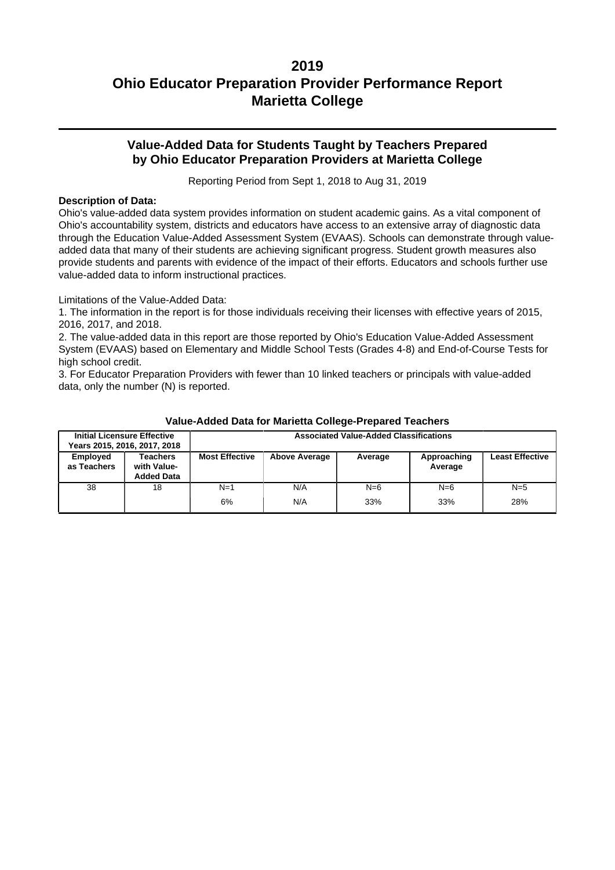## **Value-Added Data for Students Taught by Teachers Prepared by Ohio Educator Preparation Providers at Marietta College**

Reporting Period from Sept 1, 2018 to Aug 31, 2019

#### **Description of Data:**

Ohio's value-added data system provides information on student academic gains. As a vital component of Ohio's accountability system, districts and educators have access to an extensive array of diagnostic data through the Education Value-Added Assessment System (EVAAS). Schools can demonstrate through valueadded data that many of their students are achieving significant progress. Student growth measures also provide students and parents with evidence of the impact of their efforts. Educators and schools further use value-added data to inform instructional practices.

Limitations of the Value-Added Data:

1. The information in the report is for those individuals receiving their licenses with effective years of 2015, 2016, 2017, and 2018.

2. The value-added data in this report are those reported by Ohio's Education Value-Added Assessment System (EVAAS) based on Elementary and Middle School Tests (Grades 4-8) and End-of-Course Tests for high school credit.

3. For Educator Preparation Providers with fewer than 10 linked teachers or principals with value-added data, only the number (N) is reported.

|                         | <b>Initial Licensure Effective</b><br>Years 2015, 2016, 2017, 2018 | <b>Associated Value-Added Classifications</b> |                      |              |                        |                        |
|-------------------------|--------------------------------------------------------------------|-----------------------------------------------|----------------------|--------------|------------------------|------------------------|
| Employed<br>as Teachers | Teachers<br>with Value-<br><b>Added Data</b>                       | <b>Most Effective</b>                         | <b>Above Average</b> | Average      | Approaching<br>Average | <b>Least Effective</b> |
| 38                      | 18                                                                 | $N=1$<br>6%                                   | N/A<br>N/A           | $N=6$<br>33% | $N=6$<br>33%           | $N=5$<br>28%           |

#### **Value-Added Data for Marietta College-Prepared Teachers**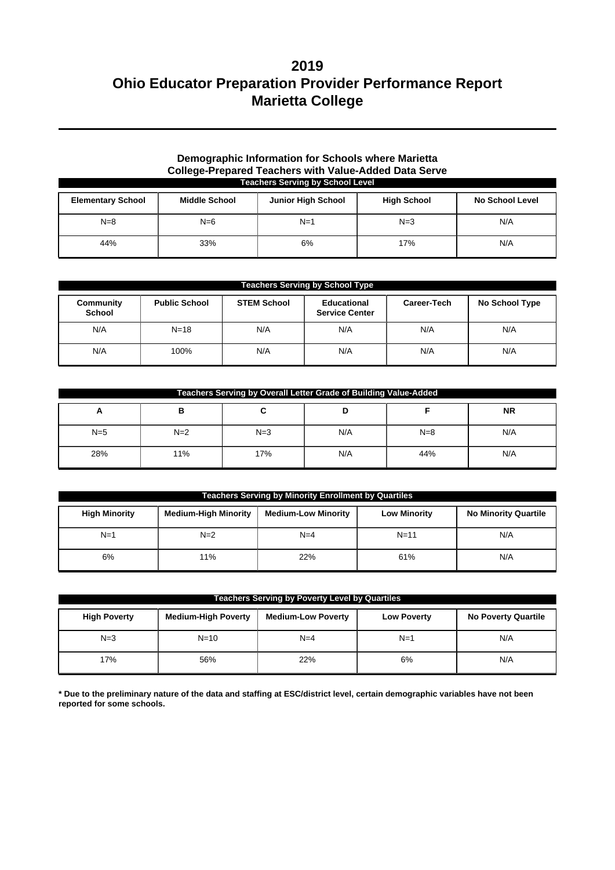#### **Demographic Information for Schools where Marietta College-Prepared Teachers with Value-Added Data Serve Teachers Serving by School Level**

| <b>Elementary School</b> | <b>Middle School</b> | <b>Junior High School</b> | <b>High School</b> | <b>No School Level</b> |
|--------------------------|----------------------|---------------------------|--------------------|------------------------|
| $N=8$                    | $N=6$                | $N=1$                     | $N=3$              | N/A                    |
| 44%                      | 33%                  | 6%                        | 17%                | N/A                    |

| <b>Teachers Serving by School Type</b> |                      |                    |                                             |             |                |  |
|----------------------------------------|----------------------|--------------------|---------------------------------------------|-------------|----------------|--|
| Community<br><b>School</b>             | <b>Public School</b> | <b>STEM School</b> | <b>Educational</b><br><b>Service Center</b> | Career-Tech | No School Type |  |
| N/A                                    | $N = 18$             | N/A                | N/A                                         | N/A         | N/A            |  |
| N/A                                    | 100%                 | N/A                | N/A                                         | N/A         | N/A            |  |

| Teachers Serving by Overall Letter Grade of Building Value-Added |       |       |     |       |           |  |
|------------------------------------------------------------------|-------|-------|-----|-------|-----------|--|
| A                                                                | в     |       |     |       | <b>NR</b> |  |
| $N=5$                                                            | $N=2$ | $N=3$ | N/A | $N=8$ | N/A       |  |
| 28%                                                              | 11%   | 17%   | N/A | 44%   | N/A       |  |

| <b>Teachers Serving by Minority Enrollment by Quartiles</b> |                             |                            |                     |                             |  |  |
|-------------------------------------------------------------|-----------------------------|----------------------------|---------------------|-----------------------------|--|--|
| <b>High Minority</b>                                        | <b>Medium-High Minority</b> | <b>Medium-Low Minority</b> | <b>Low Minority</b> | <b>No Minority Quartile</b> |  |  |
| $N=1$                                                       | $N=2$                       | $N=4$                      | $N=11$              | N/A                         |  |  |
| 6%                                                          | 11%                         | 22%                        | 61%                 | N/A                         |  |  |

| <b>Teachers Serving by Poverty Level by Quartiles</b> |                            |                           |                    |                            |  |  |
|-------------------------------------------------------|----------------------------|---------------------------|--------------------|----------------------------|--|--|
| <b>High Poverty</b>                                   | <b>Medium-High Poverty</b> | <b>Medium-Low Poverty</b> | <b>Low Poverty</b> | <b>No Poverty Quartile</b> |  |  |
| $N=3$                                                 | $N = 10$                   | $N=4$                     | $N=1$              | N/A                        |  |  |
| 17%                                                   | 56%                        | 22%                       | 6%                 | N/A                        |  |  |

**\* Due to the preliminary nature of the data and staffing at ESC/district level, certain demographic variables have not been reported for some schools.**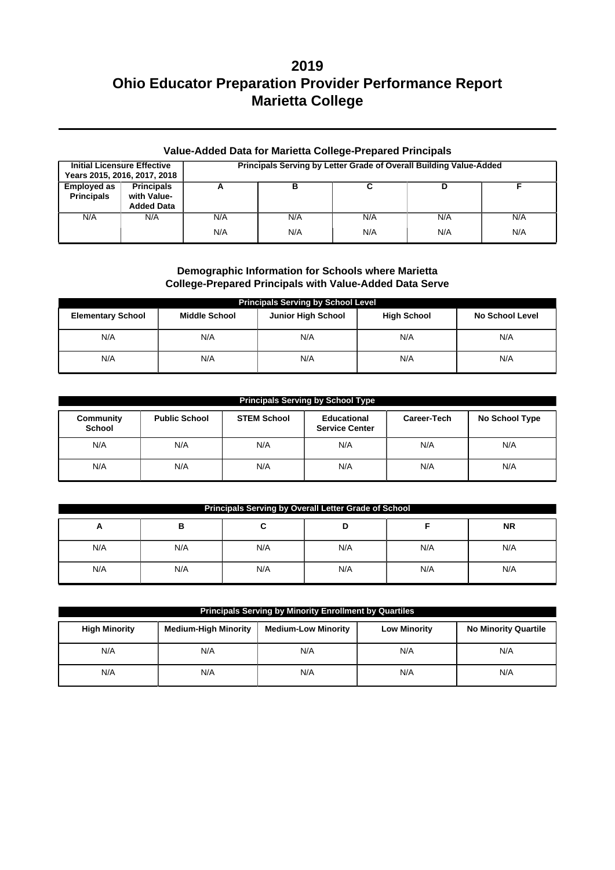| <b>Value-Added Data for Marietta College-Prepared Principals</b> |                                                       |                                                                    |     |     |     |     |  |  |
|------------------------------------------------------------------|-------------------------------------------------------|--------------------------------------------------------------------|-----|-----|-----|-----|--|--|
| <b>Initial Licensure Effective</b>                               | Years 2015, 2016, 2017, 2018                          | Principals Serving by Letter Grade of Overall Building Value-Added |     |     |     |     |  |  |
| <b>Employed as</b><br><b>Principals</b>                          | <b>Principals</b><br>with Value-<br><b>Added Data</b> | А                                                                  | в   |     | D   |     |  |  |
| N/A                                                              | N/A                                                   | N/A                                                                | N/A | N/A | N/A | N/A |  |  |
|                                                                  |                                                       | N/A                                                                | N/A | N/A | N/A | N/A |  |  |

### **Demographic Information for Schools where Marietta College-Prepared Principals with Value-Added Data Serve**

| <b>Principals Serving by School Level</b> |                      |                           |                    |                        |  |  |  |  |
|-------------------------------------------|----------------------|---------------------------|--------------------|------------------------|--|--|--|--|
| <b>Elementary School</b>                  | <b>Middle School</b> | <b>Junior High School</b> | <b>High School</b> | <b>No School Level</b> |  |  |  |  |
| N/A                                       | N/A                  | N/A                       | N/A                | N/A                    |  |  |  |  |
| N/A                                       | N/A                  | N/A                       | N/A                | N/A                    |  |  |  |  |

| <b>Principals Serving by School Type</b> |                      |                    |                                      |             |                |  |  |  |  |
|------------------------------------------|----------------------|--------------------|--------------------------------------|-------------|----------------|--|--|--|--|
| Community<br><b>School</b>               | <b>Public School</b> | <b>STEM School</b> | Educational<br><b>Service Center</b> | Career-Tech | No School Type |  |  |  |  |
| N/A                                      | N/A                  | N/A                | N/A                                  | N/A         | N/A            |  |  |  |  |
| N/A                                      | N/A                  | N/A                | N/A                                  | N/A         | N/A            |  |  |  |  |

| Principals Serving by Overall Letter Grade of School |     |     |     |     |     |  |  |  |
|------------------------------------------------------|-----|-----|-----|-----|-----|--|--|--|
| <b>NR</b><br>в<br><u>r</u>                           |     |     |     |     |     |  |  |  |
| N/A                                                  | N/A | N/A | N/A | N/A | N/A |  |  |  |
| N/A                                                  | N/A | N/A | N/A | N/A | N/A |  |  |  |

| Principals Serving by Minority Enrollment by Quartiles |                             |                            |                     |                             |  |  |  |
|--------------------------------------------------------|-----------------------------|----------------------------|---------------------|-----------------------------|--|--|--|
| <b>High Minority</b>                                   | <b>Medium-High Minority</b> | <b>Medium-Low Minority</b> | <b>Low Minority</b> | <b>No Minority Quartile</b> |  |  |  |
| N/A                                                    | N/A                         | N/A                        | N/A                 | N/A                         |  |  |  |
| N/A                                                    | N/A                         | N/A                        | N/A                 | N/A                         |  |  |  |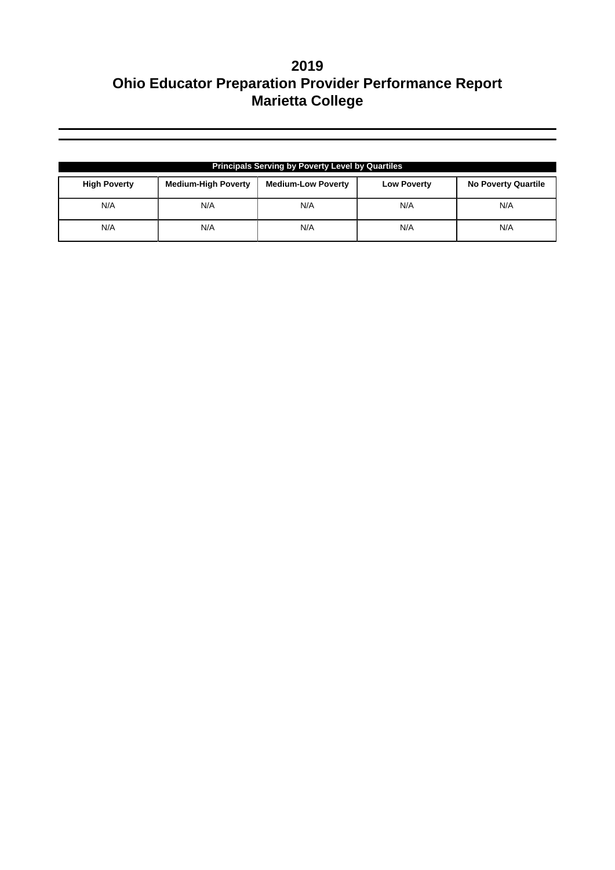| <b>Principals Serving by Poverty Level by Quartiles</b> |                            |                           |                    |                            |  |  |  |
|---------------------------------------------------------|----------------------------|---------------------------|--------------------|----------------------------|--|--|--|
| <b>High Poverty</b>                                     | <b>Medium-High Poverty</b> | <b>Medium-Low Poverty</b> | <b>Low Poverty</b> | <b>No Poverty Quartile</b> |  |  |  |
| N/A                                                     | N/A                        | N/A                       | N/A                | N/A                        |  |  |  |
| N/A                                                     | N/A                        | N/A                       | N/A                | N/A                        |  |  |  |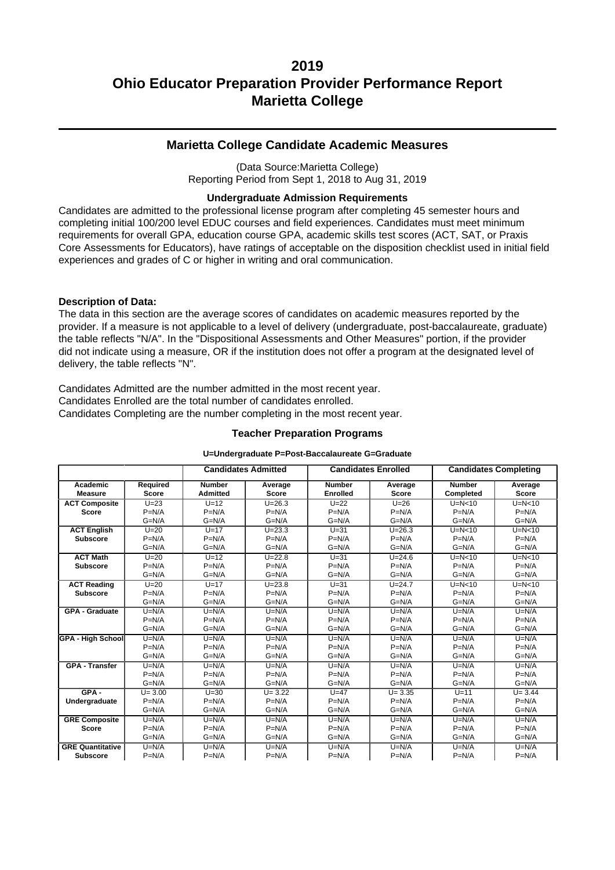### **Marietta College Candidate Academic Measures**

(Data Source:Marietta College) Reporting Period from Sept 1, 2018 to Aug 31, 2019

#### **Undergraduate Admission Requirements**

Candidates are admitted to the professional license program after completing 45 semester hours and completing initial 100/200 level EDUC courses and field experiences. Candidates must meet minimum requirements for overall GPA, education course GPA, academic skills test scores (ACT, SAT, or Praxis Core Assessments for Educators), have ratings of acceptable on the disposition checklist used in initial field experiences and grades of C or higher in writing and oral communication.

#### **Description of Data:**

The data in this section are the average scores of candidates on academic measures reported by the provider. If a measure is not applicable to a level of delivery (undergraduate, post-baccalaureate, graduate) the table reflects "N/A". In the "Dispositional Assessments and Other Measures" portion, if the provider did not indicate using a measure, OR if the institution does not offer a program at the designated level of delivery, the table reflects "N".

Candidates Admitted are the number admitted in the most recent year. Candidates Enrolled are the total number of candidates enrolled. Candidates Completing are the number completing in the most recent year.

#### **Teacher Preparation Programs**

|                          |              |                 | <b>Candidates Admitted</b> |                 | <b>Candidates Enrolled</b> |               | <b>Candidates Completing</b> |
|--------------------------|--------------|-----------------|----------------------------|-----------------|----------------------------|---------------|------------------------------|
| Academic                 | Required     | <b>Number</b>   | Average                    | <b>Number</b>   | Average                    | <b>Number</b> | Average                      |
| <b>Measure</b>           | <b>Score</b> | <b>Admitted</b> | <b>Score</b>               | <b>Enrolled</b> | <b>Score</b>               | Completed     | Score                        |
| <b>ACT Composite</b>     | $U=23$       | $U=12$          | $U = 26.3$                 | $U = 22$        | $U = 26$                   | $U=N<10$      | $U=N<10$                     |
| <b>Score</b>             | $P=N/A$      | $P=N/A$         | $P=N/A$                    | $P=N/A$         | $P=N/A$                    | $P=N/A$       | $P=N/A$                      |
|                          | $G=N/A$      | $G=N/A$         | $G=N/A$                    | $G=N/A$         | $G=N/A$                    | $G=N/A$       | $G=N/A$                      |
| <b>ACT English</b>       | $U=20$       | $U=17$          | $U = 23.3$                 | $U=31$          | $U = 26.3$                 | $U=N<10$      | $U=N<10$                     |
| <b>Subscore</b>          | $P=N/A$      | $P=N/A$         | $P=N/A$                    | $P=N/A$         | $P=N/A$                    | $P=N/A$       | $P=N/A$                      |
|                          | $G=N/A$      | $G=N/A$         | $G=N/A$                    | $G=N/A$         | $G=N/A$                    | $G=N/A$       | $G=N/A$                      |
| <b>ACT Math</b>          | $U=20$       | $U=12$          | $U = 22.8$                 | $U=31$          | $U = 24.6$                 | $U=N<10$      | $U=N<10$                     |
| <b>Subscore</b>          | $P=N/A$      | $P=N/A$         | $P=N/A$                    | $P=N/A$         | $P=N/A$                    | $P=N/A$       | $P=N/A$                      |
|                          | $G=N/A$      | $G=N/A$         | $G=N/A$                    | $G=N/A$         | $G=N/A$                    | $G=N/A$       | $G=N/A$                      |
| <b>ACT Reading</b>       | $U=20$       | $U=17$          | $U = 23.8$                 | $U=31$          | $U = 24.7$                 | $U=N<10$      | $U=N<10$                     |
| <b>Subscore</b>          | $P=N/A$      | $P=N/A$         | $P=N/A$                    | $P=N/A$         | $P=N/A$                    | $P=N/A$       | $P=N/A$                      |
|                          | $G=N/A$      | $G=N/A$         | $G=N/A$                    | $G=N/A$         | $G=N/A$                    | $G=N/A$       | $G=N/A$                      |
| <b>GPA - Graduate</b>    | $U=N/A$      | $U=N/A$         | $U=N/A$                    | $U=N/A$         | $U=N/A$                    | $U=N/A$       | $U=N/A$                      |
|                          | $P=N/A$      | $P=N/A$         | $P=N/A$                    | $P=N/A$         | $P=N/A$                    | $P=N/A$       | $P=N/A$                      |
|                          | $G=N/A$      | $G=N/A$         | $G=N/A$                    | $G=N/A$         | $G=N/A$                    | $G=N/A$       | $G=N/A$                      |
| <b>GPA - High School</b> | $U=N/A$      | $U=N/A$         | $U=N/A$                    | $U=N/A$         | $U=N/A$                    | $U=N/A$       | $U=N/A$                      |
|                          | $P=N/A$      | $P=N/A$         | $P=N/A$                    | $P=N/A$         | $P=N/A$                    | $P=N/A$       | $P=N/A$                      |
|                          | $G=N/A$      | $G=N/A$         | $G=N/A$                    | $G=N/A$         | $G=N/A$                    | $G=N/A$       | $G=N/A$                      |
| <b>GPA - Transfer</b>    | $U=N/A$      | $U=N/A$         | $U=N/A$                    | $U=N/A$         | $U=N/A$                    | $U=N/A$       | $U=N/A$                      |
|                          | $P=N/A$      | $P=N/A$         | $P=N/A$                    | $P=N/A$         | $P=N/A$                    | $P=N/A$       | $P=N/A$                      |
|                          | $G=N/A$      | $G=N/A$         | $G=N/A$                    | $G=N/A$         | $G=N/A$                    | $G=N/A$       | $G=N/A$                      |
| $GPA -$                  | $U = 3.00$   | $U=30$          | $U = 3.22$                 | $U=47$          | $U = 3.35$                 | $U=11$        | $U = 3.44$                   |
| Undergraduate            | $P=N/A$      | $P=N/A$         | $P=N/A$                    | $P=N/A$         | $P=N/A$                    | $P=N/A$       | $P=N/A$                      |
|                          | $G=N/A$      | $G=N/A$         | $G=N/A$                    | $G=N/A$         | $G=N/A$                    | $G=N/A$       | $G=N/A$                      |
| <b>GRE Composite</b>     | $U=N/A$      | $U=N/A$         | $U=N/A$                    | $U=N/A$         | $U=N/A$                    | $U=N/A$       | $U=N/A$                      |
| <b>Score</b>             | $P=N/A$      | $P=N/A$         | $P=N/A$                    | $P=N/A$         | $P=N/A$                    | $P=N/A$       | $P=N/A$                      |
|                          | $G=N/A$      | $G=N/A$         | $G=N/A$                    | $G=N/A$         | $G=N/A$                    | $G=N/A$       | $G=N/A$                      |
| <b>GRE Quantitative</b>  | $U=N/A$      | $U=N/A$         | $U=N/A$                    | $U=N/A$         | $U=N/A$                    | $U=N/A$       | $U=N/A$                      |
| <b>Subscore</b>          | $P=N/A$      | $P=N/A$         | $P=N/A$                    | $P=N/A$         | $P=N/A$                    | $P=N/A$       | $P=N/A$                      |

#### **U=Undergraduate P=Post-Baccalaureate G=Graduate**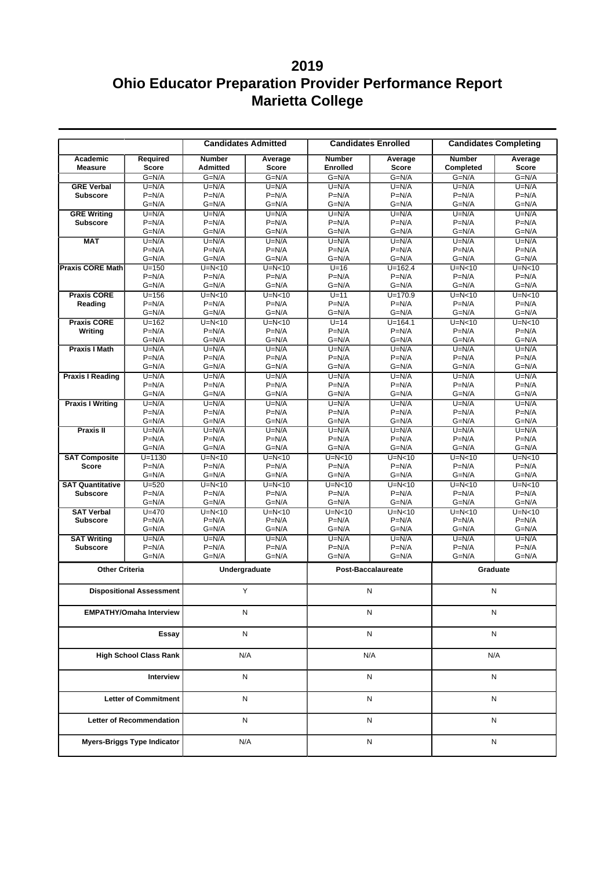|                                      | <b>Candidates Enrolled</b><br><b>Candidates Admitted</b> |                                  |                     | <b>Candidates Completing</b>     |                         |                            |                         |
|--------------------------------------|----------------------------------------------------------|----------------------------------|---------------------|----------------------------------|-------------------------|----------------------------|-------------------------|
| Academic<br><b>Measure</b>           | Required<br><b>Score</b>                                 | <b>Number</b><br><b>Admitted</b> | Average<br>Score    | <b>Number</b><br><b>Enrolled</b> | Average<br><b>Score</b> | <b>Number</b><br>Completed | Average<br><b>Score</b> |
|                                      | $G=N/A$                                                  | $G=N/A$                          | $G=N/A$             | $G=N/A$                          | $G=N/A$                 | $G=N/A$                    | $G=N/A$                 |
| <b>GRE Verbal</b>                    | $U=N/A$                                                  | $U=N/A$                          | $U=N/A$             | $U=N/A$                          | $U=N/A$                 | $U=N/A$                    | $U=N/A$                 |
| <b>Subscore</b>                      | $P=N/A$                                                  | $P=N/A$                          | $P=N/A$             | $P=N/A$                          | $P=N/A$                 | $P=N/A$                    | $P=N/A$                 |
|                                      | $G=N/A$                                                  | $G=N/A$                          | $G=N/A$             | $G=N/A$                          | $G=N/A$                 | $G=N/A$                    | $G=N/A$                 |
| <b>GRE Writing</b>                   | $U=N/A$                                                  | $U=N/A$                          | $U=N/A$             | $U=N/A$                          | $U=N/A$                 | $U=N/A$                    | $U=N/A$                 |
| <b>Subscore</b>                      | $P=N/A$                                                  | $P=N/A$                          | $P=N/A$             | $P=N/A$                          | $P=N/A$                 | $P=N/A$                    | $P=N/A$                 |
|                                      | $G=N/A$                                                  | G=N/A                            | $G=N/A$             | $G=N/A$                          | $G=N/A$                 | $G=N/A$                    | $G=N/A$                 |
| <b>MAT</b>                           | $U=N/A$<br>$P=N/A$                                       | $U=N/A$<br>$P=N/A$               | $U=N/A$<br>$P=N/A$  | $U=N/A$<br>$P=N/A$               | $U=N/A$<br>$P=N/A$      | $U=N/A$<br>$P=N/A$         | $U=N/A$<br>$P=N/A$      |
|                                      | $G=N/A$                                                  | $G=N/A$                          | $G=N/A$             | $G=N/A$                          | $G=N/A$                 | $G=N/A$                    | $G=N/A$                 |
| <b>Praxis CORE Math</b>              | $U = 150$                                                | $U=N<10$                         | $U=N<10$            | $U=16$                           | $U = 162.4$             | $U=N10$                    | $U=N<10$                |
|                                      | $P=N/A$                                                  | $P=N/A$                          | $P=N/A$             | $P=N/A$                          | $P=N/A$                 | $P=N/A$                    | $P=N/A$                 |
|                                      | $G=N/A$                                                  | $G=N/A$                          | $G=N/A$             | $G=N/A$                          | $G=N/A$                 | $G=N/A$                    | $G=N/A$                 |
| <b>Praxis CORE</b>                   | $U = 156$                                                | $U=N<10$                         | $U=N10$             | $U=11$                           | $U = 170.9$             | $U=N10$                    | $U=N10$                 |
| Reading                              | $P=N/A$                                                  | $P=N/A$                          | $P=N/A$             | $P=N/A$                          | $P=N/A$                 | $P=N/A$                    | $P=N/A$                 |
|                                      | $G=N/A$                                                  | $G=N/A$                          | $G=N/A$             | $G=N/A$                          | $G=N/A$                 | $G=N/A$                    | $G=N/A$                 |
| <b>Praxis CORE</b>                   | $U = 162$                                                | $U=N<10$                         | $U=N<10$            | $U=14$                           | $U = 164.1$             | $U=N10$                    | $U=N<10$                |
| Writing                              | $P=N/A$                                                  | $P=N/A$                          | $P=N/A$             | $P=N/A$                          | $P=N/A$                 | $P=N/A$                    | $P=N/A$                 |
|                                      | $G=N/A$                                                  | $G=N/A$                          | $G=N/A$             | $G=N/A$                          | $G=N/A$                 | $G=N/A$                    | $G=N/A$                 |
| <b>Praxis I Math</b>                 | $U=N/A$                                                  | $U=N/A$                          | $U=N/A$             | $U=N/A$                          | $U=N/A$                 | $U=N/A$                    | $U=N/A$                 |
|                                      | $P=N/A$                                                  | $P=N/A$                          | $P=N/A$             | $P=N/A$                          | $P=N/A$                 | $P=N/A$                    | $P=N/A$                 |
|                                      | $G=N/A$                                                  | G=N/A                            | $G=N/A$             | $G=N/A$                          | $G=N/A$                 | $G=N/A$                    | $G=N/A$                 |
| <b>Praxis I Reading</b>              | $U=N/A$                                                  | $U=N/A$                          | $U=N/A$             | $U=N/A$                          | $U=N/A$                 | $U=N/A$                    | $U=N/A$                 |
|                                      | $P=N/A$<br>$G=N/A$                                       | $P=N/A$<br>$G=N/A$               | $P=N/A$<br>$G=N/A$  | $P=N/A$<br>$G=N/A$               | $P=N/A$<br>G=N/A        | $P=N/A$<br>$G=N/A$         | $P=N/A$<br>$G=N/A$      |
| <b>Praxis I Writing</b>              | $U=N/A$                                                  | $U=N/A$                          | $U=N/A$             | $U=N/A$                          | $U=N/A$                 | $U=N/A$                    | $U=N/A$                 |
|                                      | $P=N/A$                                                  | $P=N/A$                          | $P=N/A$             | $P=N/A$                          | $P=N/A$                 | $P=N/A$                    | $P=N/A$                 |
|                                      | $G=N/A$                                                  | G=N/A                            | $G=N/A$             | $G=N/A$                          | $G=N/A$                 | $G=N/A$                    | $G=N/A$                 |
| Praxis II                            | $U=N/A$                                                  | $U=N/A$                          | $U=N/A$             | $U=N/A$                          | $U=N/A$                 | $U=N/A$                    | $U=N/A$                 |
|                                      | $P=N/A$                                                  | $P=N/A$                          | $P=N/A$             | $P=N/A$                          | $P=N/A$                 | $P=N/A$                    | $P=N/A$                 |
|                                      | $G=N/A$                                                  | $G=N/A$                          | $G=N/A$             | $G=N/A$                          | $G=N/A$                 | $G=N/A$                    | $G=N/A$                 |
| <b>SAT Composite</b>                 | $U = 1130$                                               | $U=N<10$                         | $U=N<10$            | $U=N<10$                         | $U=N<10$                | $U=N<10$                   | $U=N<10$                |
| <b>Score</b>                         | $P=N/A$                                                  | $P=N/A$                          | $P=N/A$             | $P=N/A$                          | $P=N/A$                 | $P=N/A$                    | $P=N/A$                 |
|                                      | $G=N/A$                                                  | G=N/A                            | $G=N/A$             | $G=N/A$                          | $G=N/A$                 | $G=N/A$                    | $G=N/A$                 |
| <b>SAT Quantitative</b>              | $U = 520$                                                | $U=N<10$                         | $U=N<10$            | $U=N<10$                         | $U=N<10$                | $U=N<10$                   | $U=N10$                 |
| <b>Subscore</b>                      | $P=N/A$                                                  | $P=N/A$                          | $P=N/A$             | $P=N/A$                          | $P=N/A$                 | $P=N/A$                    | $P=N/A$                 |
|                                      | $G=N/A$                                                  | $G=N/A$                          | $G=N/A$             | $G=N/A$                          | $G=N/A$                 | $G=N/A$                    | $G=N/A$                 |
| <b>SAT Verbal</b><br><b>Subscore</b> | $U = 470$<br>$P=N/A$                                     | $U=N<10$<br>$P=N/A$              | $U=N<10$<br>$P=N/A$ | $U=N<10$<br>$P=N/A$              | $U=N<10$<br>$P=N/A$     | $U=N<10$<br>$P=N/A$        | $U=N<10$<br>$P=N/A$     |
|                                      | $G=N/A$                                                  | G=N/A                            | $G=N/A$             | $G=N/A$                          | $G=N/A$                 | $G=N/A$                    | $G=N/A$                 |
| <b>SAT Writing</b>                   | $U=N/A$                                                  | $U=N/A$                          | $U=N/A$             | $U=N/A$                          | $U=N/A$                 | $U=N/A$                    | $U=N/A$                 |
| <b>Subscore</b>                      | $P=N/A$                                                  | $P=N/A$                          | $P=N/A$             | $P=N/A$                          | $P=N/A$                 | $P=N/A$                    | $P=N/A$                 |
|                                      | $G=N/A$                                                  | $G=N/A$                          | $G=N/A$             | $G=N/A$                          | $G=N/A$                 | $G=N/A$                    | $G=N/A$                 |
| <b>Other Criteria</b>                |                                                          |                                  | Undergraduate       |                                  |                         |                            |                         |
|                                      |                                                          |                                  |                     | <b>Post-Baccalaureate</b>        |                         | Graduate                   |                         |
|                                      | <b>Dispositional Assessment</b>                          |                                  | Υ                   | N                                |                         | Ν                          |                         |
|                                      | <b>EMPATHY/Omaha Interview</b>                           |                                  | N                   |                                  | N                       | Ν                          |                         |
| Essay                                |                                                          |                                  | N                   | N                                |                         | N                          |                         |
| <b>High School Class Rank</b>        |                                                          |                                  | N/A                 |                                  | N/A                     | N/A                        |                         |
|                                      | Interview                                                |                                  | N                   |                                  | N                       | N                          |                         |
|                                      | <b>Letter of Commitment</b>                              |                                  | N                   | N                                |                         | N                          |                         |
|                                      | <b>Letter of Recommendation</b>                          |                                  | N                   |                                  | N                       | N                          |                         |
|                                      | <b>Myers-Briggs Type Indicator</b>                       |                                  | N/A                 |                                  | N                       | Ν                          |                         |
|                                      |                                                          |                                  |                     |                                  |                         |                            |                         |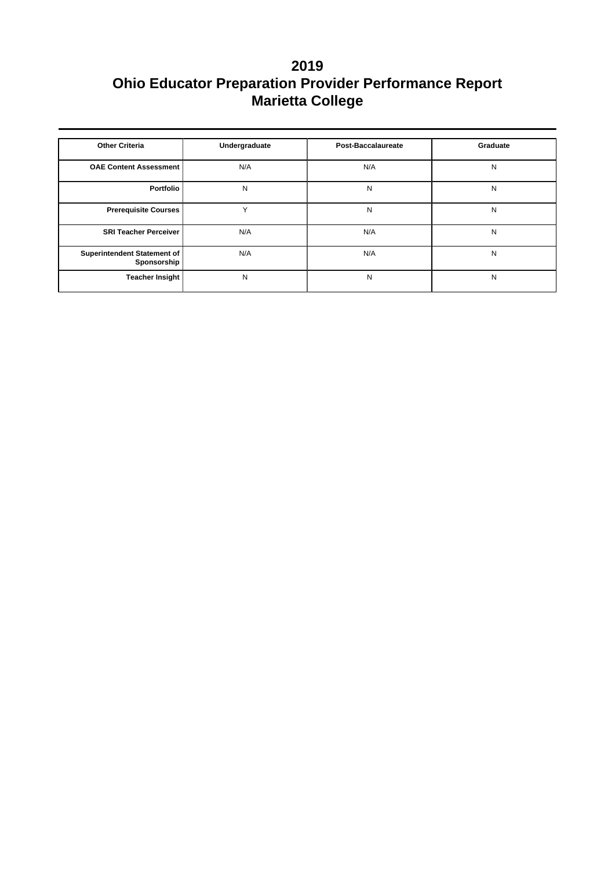| <b>Other Criteria</b>                             | Undergraduate | Post-Baccalaureate | Graduate |
|---------------------------------------------------|---------------|--------------------|----------|
| <b>OAE Content Assessment</b>                     | N/A           | N/A                | N        |
| Portfolio                                         | N             | N                  | N        |
| <b>Prerequisite Courses</b>                       | $\checkmark$  | N                  | N        |
| <b>SRI Teacher Perceiver</b>                      | N/A           | N/A                | N        |
| <b>Superintendent Statement of</b><br>Sponsorship | N/A           | N/A                | N        |
| <b>Teacher Insight</b>                            | N             | N                  | N        |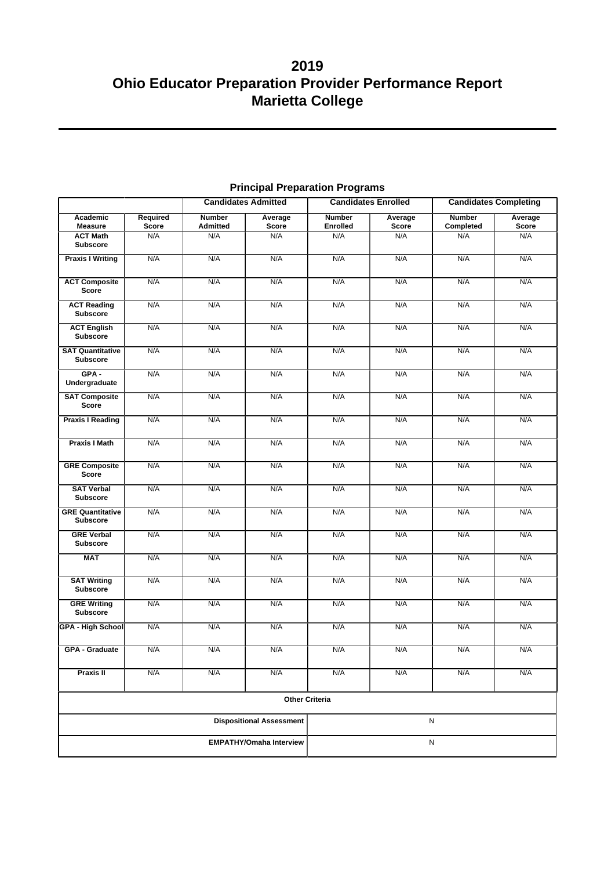|                                            |          | <b>Candidates Admitted</b> |                                 | <b>Candidates Enrolled</b> |              | <b>Candidates Completing</b> |         |
|--------------------------------------------|----------|----------------------------|---------------------------------|----------------------------|--------------|------------------------------|---------|
| Academic                                   | Required | <b>Number</b>              | Average                         | <b>Number</b>              | Average      | <b>Number</b>                | Average |
| <b>Measure</b>                             | Score    | <b>Admitted</b>            | <b>Score</b>                    | <b>Enrolled</b>            | <b>Score</b> | Completed                    | Score   |
| <b>ACT Math</b><br><b>Subscore</b>         | N/A      | N/A                        | N/A                             | N/A                        | N/A          | N/A                          | N/A     |
| <b>Praxis I Writing</b>                    | N/A      | N/A                        | N/A                             | N/A                        | N/A          | N/A                          | N/A     |
| <b>ACT Composite</b><br><b>Score</b>       | N/A      | N/A                        | N/A                             | N/A                        | N/A          | N/A                          | N/A     |
| <b>ACT Reading</b><br><b>Subscore</b>      | N/A      | N/A                        | N/A                             | N/A                        | N/A          | N/A                          | N/A     |
| <b>ACT English</b><br><b>Subscore</b>      | N/A      | N/A                        | N/A                             | N/A                        | N/A          | N/A                          | N/A     |
| <b>SAT Quantitative</b><br><b>Subscore</b> | N/A      | N/A                        | N/A                             | N/A                        | N/A          | N/A                          | N/A     |
| $GPA -$<br>Undergraduate                   | N/A      | N/A                        | N/A                             | N/A                        | N/A          | N/A                          | N/A     |
| <b>SAT Composite</b><br><b>Score</b>       | N/A      | N/A                        | N/A                             | N/A                        | N/A          | N/A                          | N/A     |
| <b>Praxis I Reading</b>                    | N/A      | N/A                        | N/A                             | N/A                        | N/A          | N/A                          | N/A     |
| <b>Praxis I Math</b>                       | N/A      | N/A                        | N/A                             | N/A                        | N/A          | N/A                          | N/A     |
| <b>GRE Composite</b><br><b>Score</b>       | N/A      | N/A                        | N/A                             | N/A                        | N/A          | N/A                          | N/A     |
| <b>SAT Verbal</b><br><b>Subscore</b>       | N/A      | N/A                        | N/A                             | N/A                        | N/A          | N/A                          | N/A     |
| <b>GRE Quantitative</b><br><b>Subscore</b> | N/A      | N/A                        | N/A                             | N/A                        | N/A          | N/A                          | N/A     |
| <b>GRE Verbal</b><br><b>Subscore</b>       | N/A      | N/A                        | N/A                             | N/A                        | N/A          | N/A                          | N/A     |
| <b>MAT</b>                                 | N/A      | N/A                        | N/A                             | N/A                        | N/A          | N/A                          | N/A     |
| <b>SAT Writing</b><br><b>Subscore</b>      | N/A      | N/A                        | N/A                             | N/A                        | N/A          | N/A                          | N/A     |
| <b>GRE Writing</b><br><b>Subscore</b>      | N/A      | N/A                        | N/A                             | N/A                        | N/A          | N/A                          | N/A     |
| GPA - High School                          | N/A      | N/A                        | N/A                             | N/A                        | N/A          | N/A                          | N/A     |
| <b>GPA - Graduate</b>                      | N/A      | N/A                        | N/A                             | N/A                        | N/A          | N/A                          | N/A     |
| <b>Praxis II</b>                           | N/A      | N/A                        | N/A                             | N/A                        | N/A          | N/A                          | N/A     |
|                                            |          |                            | <b>Other Criteria</b>           |                            |              |                              |         |
|                                            |          |                            | <b>Dispositional Assessment</b> | N                          |              |                              |         |
| <b>EMPATHY/Omaha Interview</b>             |          |                            |                                 |                            | ${\sf N}$    |                              |         |

## **Principal Preparation Programs**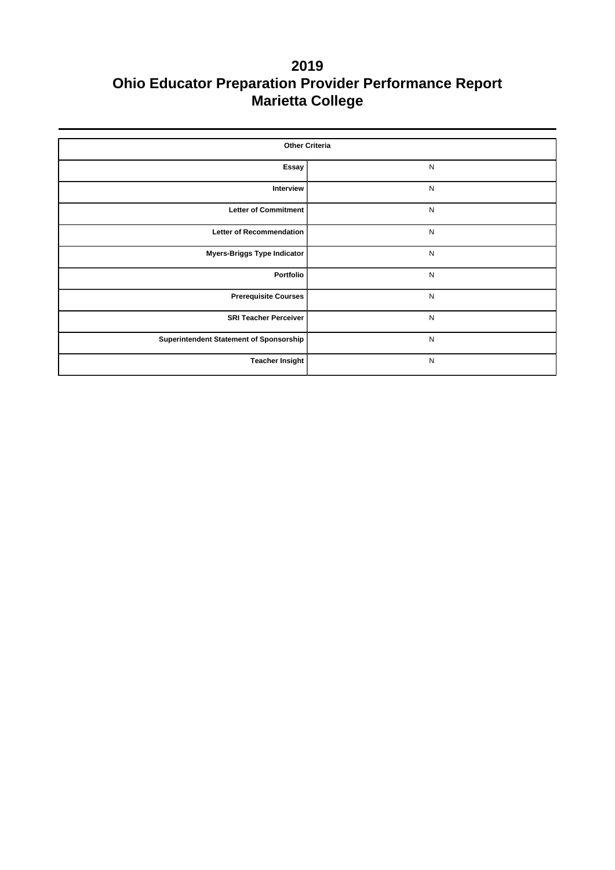| <b>Other Criteria</b>                   |              |  |  |  |  |  |
|-----------------------------------------|--------------|--|--|--|--|--|
| Essay                                   | ${\sf N}$    |  |  |  |  |  |
| Interview                               | ${\sf N}$    |  |  |  |  |  |
| <b>Letter of Commitment</b>             | ${\sf N}$    |  |  |  |  |  |
| <b>Letter of Recommendation</b>         | $\mathsf{N}$ |  |  |  |  |  |
| <b>Myers-Briggs Type Indicator</b>      | ${\sf N}$    |  |  |  |  |  |
| Portfolio                               | ${\sf N}$    |  |  |  |  |  |
| <b>Prerequisite Courses</b>             | ${\sf N}$    |  |  |  |  |  |
| <b>SRI Teacher Perceiver</b>            | N            |  |  |  |  |  |
| Superintendent Statement of Sponsorship | ${\sf N}$    |  |  |  |  |  |
| <b>Teacher Insight</b>                  | ${\sf N}$    |  |  |  |  |  |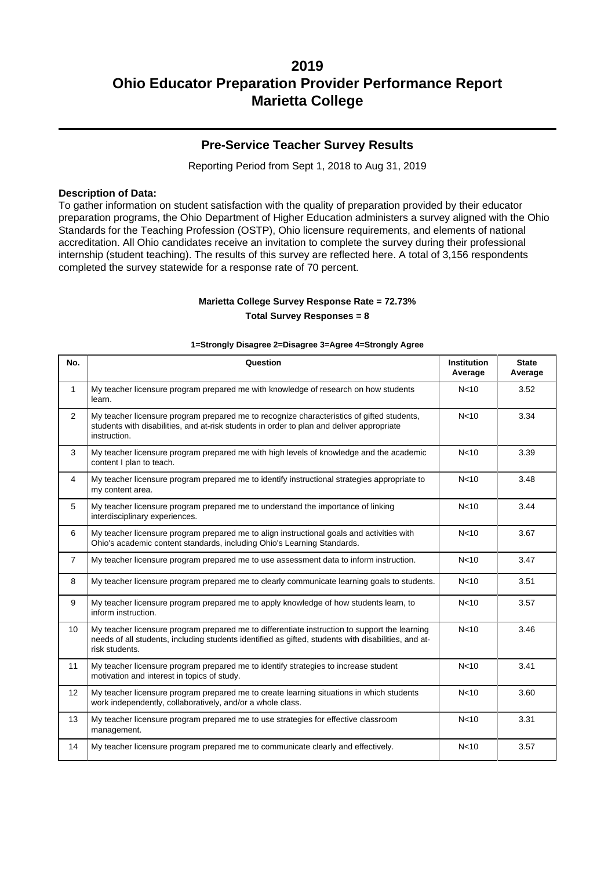### **Pre-Service Teacher Survey Results**

Reporting Period from Sept 1, 2018 to Aug 31, 2019

#### **Description of Data:**

To gather information on student satisfaction with the quality of preparation provided by their educator preparation programs, the Ohio Department of Higher Education administers a survey aligned with the Ohio Standards for the Teaching Profession (OSTP), Ohio licensure requirements, and elements of national accreditation. All Ohio candidates receive an invitation to complete the survey during their professional internship (student teaching). The results of this survey are reflected here. A total of 3,156 respondents completed the survey statewide for a response rate of 70 percent.

#### **Marietta College Survey Response Rate = 72.73% Total Survey Responses = 8**

| No.            | Question                                                                                                                                                                                                               | <b>Institution</b><br>Average | <b>State</b><br>Average |
|----------------|------------------------------------------------------------------------------------------------------------------------------------------------------------------------------------------------------------------------|-------------------------------|-------------------------|
| $\mathbf{1}$   | My teacher licensure program prepared me with knowledge of research on how students<br>learn.                                                                                                                          | N <sub>10</sub>               | 3.52                    |
| $\overline{2}$ | My teacher licensure program prepared me to recognize characteristics of gifted students,<br>students with disabilities, and at-risk students in order to plan and deliver appropriate<br>instruction.                 | N <sub>10</sub>               | 3.34                    |
| 3              | My teacher licensure program prepared me with high levels of knowledge and the academic<br>content I plan to teach.                                                                                                    | N <sub>10</sub>               | 3.39                    |
| $\overline{4}$ | My teacher licensure program prepared me to identify instructional strategies appropriate to<br>my content area.                                                                                                       | N <sub>10</sub>               | 3.48                    |
| 5              | My teacher licensure program prepared me to understand the importance of linking<br>interdisciplinary experiences.                                                                                                     | N <sub>10</sub>               | 3.44                    |
| 6              | My teacher licensure program prepared me to align instructional goals and activities with<br>Ohio's academic content standards, including Ohio's Learning Standards.                                                   | N <sub>10</sub>               | 3.67                    |
| $\overline{7}$ | My teacher licensure program prepared me to use assessment data to inform instruction.                                                                                                                                 | N <sub>10</sub>               | 3.47                    |
| 8              | My teacher licensure program prepared me to clearly communicate learning goals to students.                                                                                                                            | N <sub>10</sub>               | 3.51                    |
| 9              | My teacher licensure program prepared me to apply knowledge of how students learn, to<br>inform instruction.                                                                                                           | N <sub>10</sub>               | 3.57                    |
| 10             | My teacher licensure program prepared me to differentiate instruction to support the learning<br>needs of all students, including students identified as gifted, students with disabilities, and at-<br>risk students. | N <sub>10</sub>               | 3.46                    |
| 11             | My teacher licensure program prepared me to identify strategies to increase student<br>motivation and interest in topics of study.                                                                                     | N <sub>10</sub>               | 3.41                    |
| 12             | My teacher licensure program prepared me to create learning situations in which students<br>work independently, collaboratively, and/or a whole class.                                                                 | N <sub>10</sub>               | 3.60                    |
| 13             | My teacher licensure program prepared me to use strategies for effective classroom<br>management.                                                                                                                      | N <sub>10</sub>               | 3.31                    |
| 14             | My teacher licensure program prepared me to communicate clearly and effectively.                                                                                                                                       | N <sub>10</sub>               | 3.57                    |

#### **1=Strongly Disagree 2=Disagree 3=Agree 4=Strongly Agree**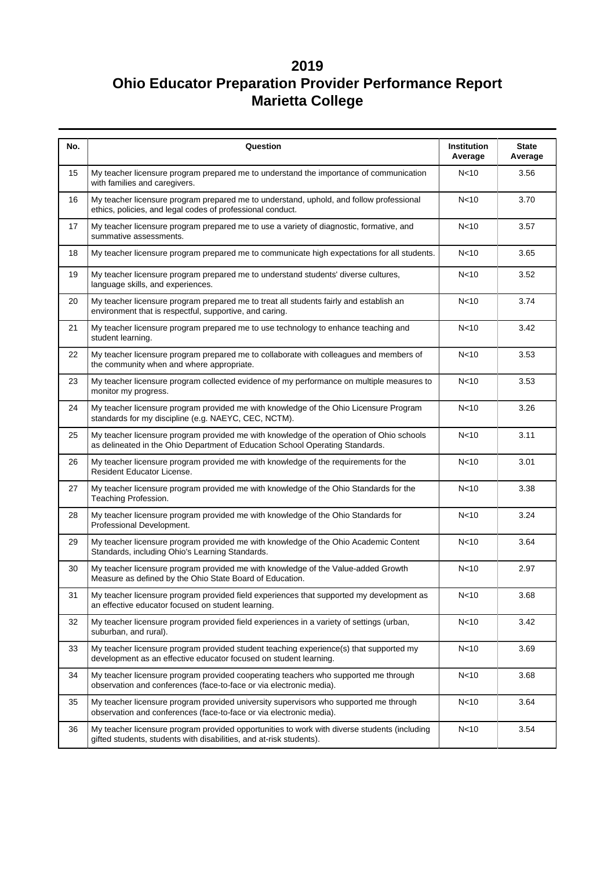| No. | Question                                                                                                                                                                                       | <b>Institution</b><br>Average | <b>State</b><br>Average |  |  |  |
|-----|------------------------------------------------------------------------------------------------------------------------------------------------------------------------------------------------|-------------------------------|-------------------------|--|--|--|
| 15  | My teacher licensure program prepared me to understand the importance of communication<br>with families and caregivers.                                                                        | N <sub>10</sub>               | 3.56                    |  |  |  |
| 16  | My teacher licensure program prepared me to understand, uphold, and follow professional<br>ethics, policies, and legal codes of professional conduct.                                          | N <sub>10</sub>               | 3.70                    |  |  |  |
| 17  | My teacher licensure program prepared me to use a variety of diagnostic, formative, and<br>summative assessments.                                                                              | N <sub>10</sub>               | 3.57                    |  |  |  |
| 18  | My teacher licensure program prepared me to communicate high expectations for all students.                                                                                                    | N <sub>10</sub>               | 3.65                    |  |  |  |
| 19  | My teacher licensure program prepared me to understand students' diverse cultures,<br>language skills, and experiences.                                                                        | N <sub>10</sub>               | 3.52                    |  |  |  |
| 20  | My teacher licensure program prepared me to treat all students fairly and establish an<br>environment that is respectful, supportive, and caring.                                              | N <sub>10</sub>               | 3.74                    |  |  |  |
| 21  | My teacher licensure program prepared me to use technology to enhance teaching and<br>N <sub>10</sub><br>student learning.                                                                     |                               |                         |  |  |  |
| 22  | My teacher licensure program prepared me to collaborate with colleagues and members of<br>N <sub>10</sub><br>the community when and where appropriate.                                         |                               |                         |  |  |  |
| 23  | My teacher licensure program collected evidence of my performance on multiple measures to<br>N <sub>10</sub><br>monitor my progress.                                                           |                               |                         |  |  |  |
| 24  | My teacher licensure program provided me with knowledge of the Ohio Licensure Program<br>standards for my discipline (e.g. NAEYC, CEC, NCTM).                                                  | N<10                          | 3.26                    |  |  |  |
| 25  | My teacher licensure program provided me with knowledge of the operation of Ohio schools<br>as delineated in the Ohio Department of Education School Operating Standards.                      | N <sub>10</sub>               | 3.11                    |  |  |  |
| 26  | My teacher licensure program provided me with knowledge of the requirements for the<br>Resident Educator License.                                                                              | N <sub>10</sub>               | 3.01                    |  |  |  |
| 27  | My teacher licensure program provided me with knowledge of the Ohio Standards for the<br>Teaching Profession.                                                                                  | N <sub>10</sub>               | 3.38                    |  |  |  |
| 28  | My teacher licensure program provided me with knowledge of the Ohio Standards for<br>N <sub>10</sub><br>Professional Development.                                                              |                               |                         |  |  |  |
| 29  | My teacher licensure program provided me with knowledge of the Ohio Academic Content<br>Standards, including Ohio's Learning Standards.                                                        | N <sub>10</sub>               | 3.64                    |  |  |  |
| 30  | My teacher licensure program provided me with knowledge of the Value-added Growth<br>Measure as defined by the Ohio State Board of Education.                                                  | N <sub>10</sub>               | 2.97                    |  |  |  |
| 31  | My teacher licensure program provided field experiences that supported my development as<br>an effective educator focused on student learning.                                                 | N<10                          | 3.68                    |  |  |  |
| 32  | My teacher licensure program provided field experiences in a variety of settings (urban,<br>suburban, and rural).                                                                              | N <sub>10</sub>               | 3.42                    |  |  |  |
| 33  | My teacher licensure program provided student teaching experience(s) that supported my<br>development as an effective educator focused on student learning.                                    | N <sub>10</sub>               | 3.69                    |  |  |  |
| 34  | My teacher licensure program provided cooperating teachers who supported me through<br>observation and conferences (face-to-face or via electronic media).                                     | N <sub>10</sub>               | 3.68                    |  |  |  |
| 35  | My teacher licensure program provided university supervisors who supported me through<br>observation and conferences (face-to-face or via electronic media).                                   | N <sub>10</sub>               | 3.64                    |  |  |  |
| 36  | My teacher licensure program provided opportunities to work with diverse students (including<br>N <sub>10</sub><br>3.54<br>gifted students, students with disabilities, and at-risk students). |                               |                         |  |  |  |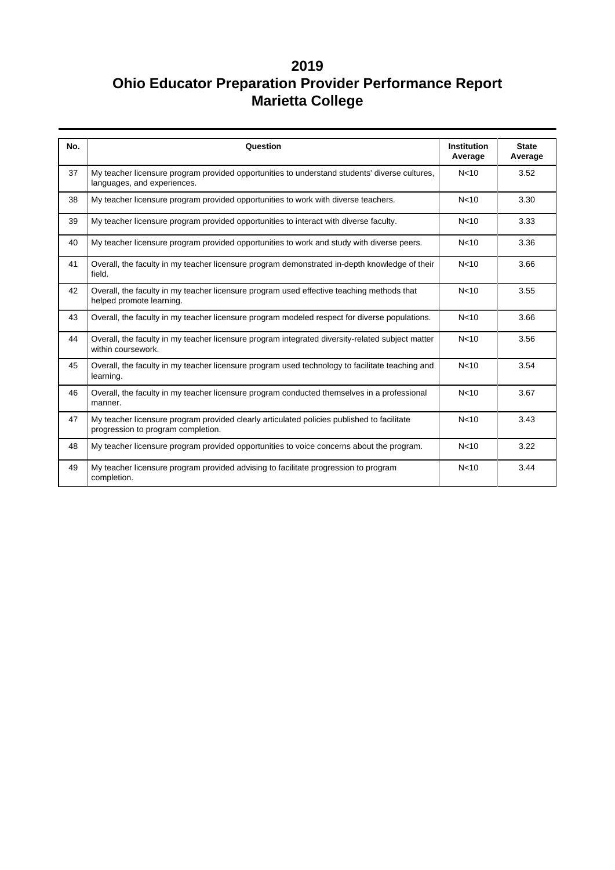| No. | Question                                                                                                                         | <b>Institution</b><br>Average | <b>State</b><br>Average |
|-----|----------------------------------------------------------------------------------------------------------------------------------|-------------------------------|-------------------------|
| 37  | My teacher licensure program provided opportunities to understand students' diverse cultures,<br>languages, and experiences.     | N <sub>10</sub>               | 3.52                    |
| 38  | My teacher licensure program provided opportunities to work with diverse teachers.                                               | N <sub>10</sub>               | 3.30                    |
| 39  | My teacher licensure program provided opportunities to interact with diverse faculty.                                            | N <sub>10</sub>               | 3.33                    |
| 40  | My teacher licensure program provided opportunities to work and study with diverse peers.                                        | N <sub>10</sub>               | 3.36                    |
| 41  | Overall, the faculty in my teacher licensure program demonstrated in-depth knowledge of their<br>field.                          | N <sub>10</sub>               | 3.66                    |
| 42  | Overall, the faculty in my teacher licensure program used effective teaching methods that<br>helped promote learning.            | N <sub>10</sub>               | 3.55                    |
| 43  | Overall, the faculty in my teacher licensure program modeled respect for diverse populations.                                    | N <sub>10</sub>               | 3.66                    |
| 44  | Overall, the faculty in my teacher licensure program integrated diversity-related subject matter<br>within coursework.           | N <sub>10</sub>               | 3.56                    |
| 45  | Overall, the faculty in my teacher licensure program used technology to facilitate teaching and<br>learning.                     | N <sub>10</sub>               | 3.54                    |
| 46  | Overall, the faculty in my teacher licensure program conducted themselves in a professional<br>manner.                           | N <sub>10</sub>               | 3.67                    |
| 47  | My teacher licensure program provided clearly articulated policies published to facilitate<br>progression to program completion. | N <sub>10</sub>               | 3.43                    |
| 48  | My teacher licensure program provided opportunities to voice concerns about the program.                                         | N <sub>10</sub>               | 3.22                    |
| 49  | My teacher licensure program provided advising to facilitate progression to program<br>completion.                               | N <sub>10</sub>               | 3.44                    |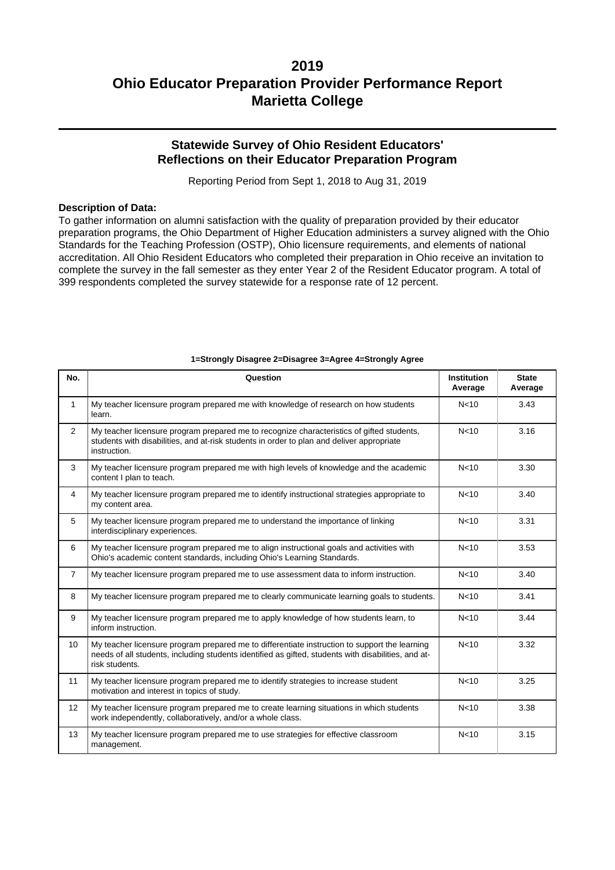## **Statewide Survey of Ohio Resident Educators' Reflections on their Educator Preparation Program**

Reporting Period from Sept 1, 2018 to Aug 31, 2019

#### **Description of Data:**

To gather information on alumni satisfaction with the quality of preparation provided by their educator preparation programs, the Ohio Department of Higher Education administers a survey aligned with the Ohio Standards for the Teaching Profession (OSTP), Ohio licensure requirements, and elements of national accreditation. All Ohio Resident Educators who completed their preparation in Ohio receive an invitation to complete the survey in the fall semester as they enter Year 2 of the Resident Educator program. A total of 399 respondents completed the survey statewide for a response rate of 12 percent.

| No.            | Question                                                                                                                                                                                                               | <b>Institution</b><br>Average | <b>State</b><br>Average |  |  |
|----------------|------------------------------------------------------------------------------------------------------------------------------------------------------------------------------------------------------------------------|-------------------------------|-------------------------|--|--|
| $\mathbf{1}$   | My teacher licensure program prepared me with knowledge of research on how students<br>learn.                                                                                                                          | N <sub>10</sub>               | 3.43                    |  |  |
| $\overline{2}$ | My teacher licensure program prepared me to recognize characteristics of gifted students,<br>students with disabilities, and at-risk students in order to plan and deliver appropriate<br>instruction.                 | N <sub>10</sub>               | 3.16                    |  |  |
| 3              | My teacher licensure program prepared me with high levels of knowledge and the academic<br>content I plan to teach.                                                                                                    | N <sub>10</sub>               | 3.30                    |  |  |
| $\overline{4}$ | My teacher licensure program prepared me to identify instructional strategies appropriate to<br>my content area.                                                                                                       | N <sub>10</sub>               | 3.40                    |  |  |
| 5              | My teacher licensure program prepared me to understand the importance of linking<br>interdisciplinary experiences.                                                                                                     | N <sub>10</sub>               | 3.31                    |  |  |
| 6              | My teacher licensure program prepared me to align instructional goals and activities with<br>Ohio's academic content standards, including Ohio's Learning Standards.                                                   | N <sub>10</sub>               | 3.53                    |  |  |
| $\overline{7}$ | My teacher licensure program prepared me to use assessment data to inform instruction.                                                                                                                                 | N <sub>10</sub>               | 3.40                    |  |  |
| 8              | N <sub>10</sub><br>My teacher licensure program prepared me to clearly communicate learning goals to students.                                                                                                         |                               |                         |  |  |
| 9              | My teacher licensure program prepared me to apply knowledge of how students learn, to<br>inform instruction.                                                                                                           | N <sub>10</sub>               | 3.44                    |  |  |
| 10             | My teacher licensure program prepared me to differentiate instruction to support the learning<br>needs of all students, including students identified as gifted, students with disabilities, and at-<br>risk students. | N <sub>10</sub>               | 3.32                    |  |  |
| 11             | My teacher licensure program prepared me to identify strategies to increase student<br>motivation and interest in topics of study.                                                                                     | N <sub>10</sub>               | 3.25                    |  |  |
| 12             | My teacher licensure program prepared me to create learning situations in which students<br>work independently, collaboratively, and/or a whole class.                                                                 | N <sub>10</sub>               | 3.38                    |  |  |
| 13             | My teacher licensure program prepared me to use strategies for effective classroom<br>management.                                                                                                                      | N <sub>10</sub>               | 3.15                    |  |  |

#### **1=Strongly Disagree 2=Disagree 3=Agree 4=Strongly Agree**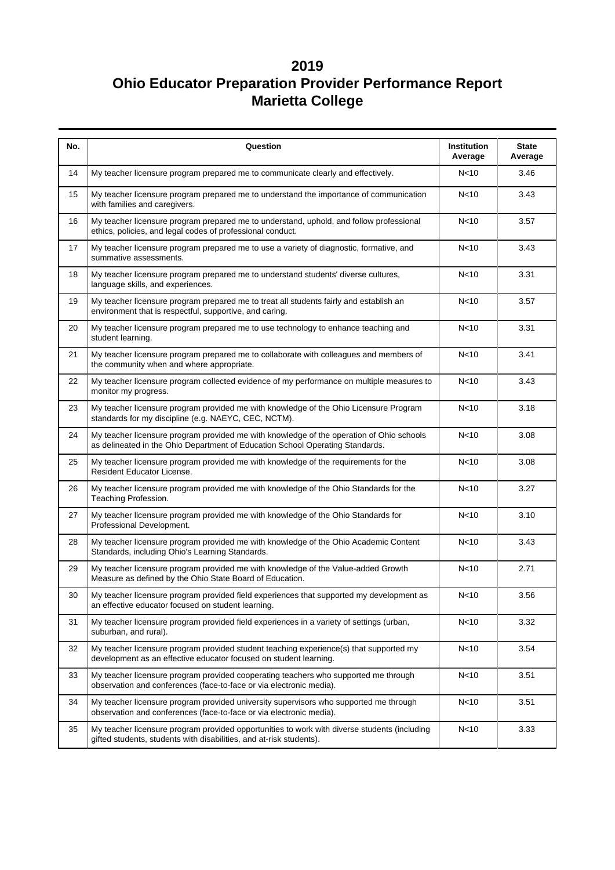| No. | Question                                                                                                                                                                       | Institution<br>Average | <b>State</b><br>Average |  |  |
|-----|--------------------------------------------------------------------------------------------------------------------------------------------------------------------------------|------------------------|-------------------------|--|--|
| 14  | My teacher licensure program prepared me to communicate clearly and effectively.                                                                                               | N <sub>10</sub>        | 3.46                    |  |  |
| 15  | My teacher licensure program prepared me to understand the importance of communication<br>with families and caregivers.                                                        | N <sub>10</sub>        | 3.43                    |  |  |
| 16  | My teacher licensure program prepared me to understand, uphold, and follow professional<br>ethics, policies, and legal codes of professional conduct.                          | N <sub>10</sub>        | 3.57                    |  |  |
| 17  | My teacher licensure program prepared me to use a variety of diagnostic, formative, and<br>summative assessments.                                                              | N <sub>10</sub>        | 3.43                    |  |  |
| 18  | My teacher licensure program prepared me to understand students' diverse cultures,<br>language skills, and experiences.                                                        | N <sub>10</sub>        | 3.31                    |  |  |
| 19  | My teacher licensure program prepared me to treat all students fairly and establish an<br>environment that is respectful, supportive, and caring.                              | N <sub>10</sub>        | 3.57                    |  |  |
| 20  | My teacher licensure program prepared me to use technology to enhance teaching and<br>N <sub>10</sub><br>student learning.                                                     |                        |                         |  |  |
| 21  | My teacher licensure program prepared me to collaborate with colleagues and members of<br>N <sub>10</sub><br>the community when and where appropriate.                         |                        |                         |  |  |
| 22  | My teacher licensure program collected evidence of my performance on multiple measures to<br>N <sub>10</sub><br>monitor my progress.                                           |                        |                         |  |  |
| 23  | My teacher licensure program provided me with knowledge of the Ohio Licensure Program<br>standards for my discipline (e.g. NAEYC, CEC, NCTM).                                  | N <sub>10</sub>        | 3.18                    |  |  |
| 24  | My teacher licensure program provided me with knowledge of the operation of Ohio schools<br>as delineated in the Ohio Department of Education School Operating Standards.      | N <sub>10</sub>        | 3.08                    |  |  |
| 25  | My teacher licensure program provided me with knowledge of the requirements for the<br>Resident Educator License.                                                              | N <sub>10</sub>        | 3.08                    |  |  |
| 26  | My teacher licensure program provided me with knowledge of the Ohio Standards for the<br>Teaching Profession.                                                                  | N<10                   | 3.27                    |  |  |
| 27  | My teacher licensure program provided me with knowledge of the Ohio Standards for<br>N <sub>10</sub><br>Professional Development.                                              |                        |                         |  |  |
| 28  | My teacher licensure program provided me with knowledge of the Ohio Academic Content<br>Standards, including Ohio's Learning Standards.                                        | N <sub>10</sub>        | 3.43                    |  |  |
| 29  | My teacher licensure program provided me with knowledge of the Value-added Growth<br>Measure as defined by the Ohio State Board of Education.                                  | N <sub>10</sub>        | 2.71                    |  |  |
| 30  | My teacher licensure program provided field experiences that supported my development as<br>an effective educator focused on student learning.                                 | N <sub>10</sub>        | 3.56                    |  |  |
| 31  | My teacher licensure program provided field experiences in a variety of settings (urban,<br>suburban, and rural).                                                              | N<10                   | 3.32                    |  |  |
| 32  | My teacher licensure program provided student teaching experience(s) that supported my<br>N <sub>10</sub><br>development as an effective educator focused on student learning. |                        |                         |  |  |
| 33  | My teacher licensure program provided cooperating teachers who supported me through<br>observation and conferences (face-to-face or via electronic media).                     | N <sub>10</sub>        | 3.51                    |  |  |
| 34  | My teacher licensure program provided university supervisors who supported me through<br>observation and conferences (face-to-face or via electronic media).                   | N<10                   | 3.51                    |  |  |
| 35  | My teacher licensure program provided opportunities to work with diverse students (including<br>gifted students, students with disabilities, and at-risk students).            | N <sub>10</sub>        | 3.33                    |  |  |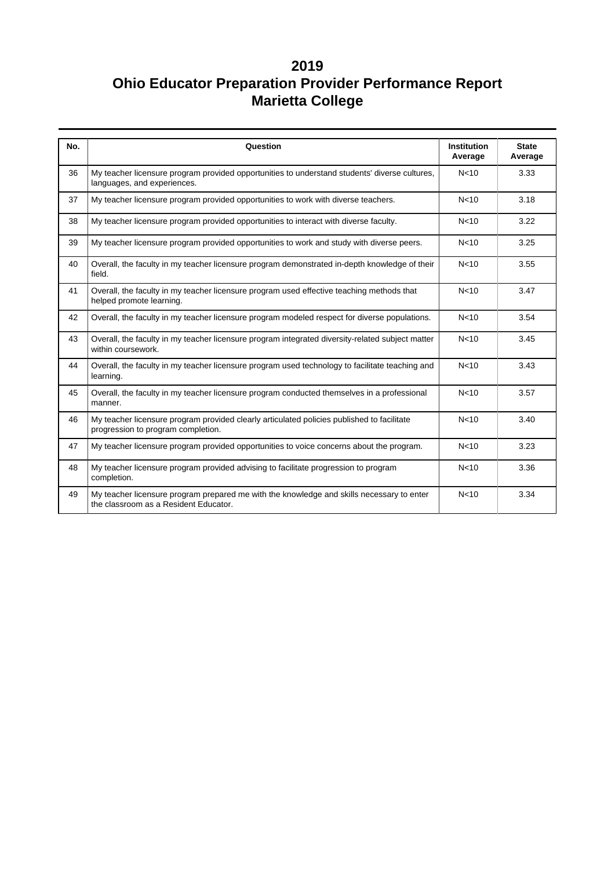| No. | Question                                                                                                                           | <b>Institution</b><br>Average | <b>State</b><br>Average |
|-----|------------------------------------------------------------------------------------------------------------------------------------|-------------------------------|-------------------------|
| 36  | My teacher licensure program provided opportunities to understand students' diverse cultures,<br>languages, and experiences.       | N <sub>10</sub>               | 3.33                    |
| 37  | My teacher licensure program provided opportunities to work with diverse teachers.                                                 | N <sub>10</sub>               | 3.18                    |
| 38  | My teacher licensure program provided opportunities to interact with diverse faculty.                                              | N <sub>10</sub>               | 3.22                    |
| 39  | My teacher licensure program provided opportunities to work and study with diverse peers.                                          | N <sub>10</sub>               | 3.25                    |
| 40  | Overall, the faculty in my teacher licensure program demonstrated in-depth knowledge of their<br>field.                            | N <sub>10</sub>               | 3.55                    |
| 41  | Overall, the faculty in my teacher licensure program used effective teaching methods that<br>helped promote learning.              | N <sub>10</sub>               | 3.47                    |
| 42  | Overall, the faculty in my teacher licensure program modeled respect for diverse populations.                                      | N <sub>10</sub>               | 3.54                    |
| 43  | Overall, the faculty in my teacher licensure program integrated diversity-related subject matter<br>within coursework.             | N <sub>10</sub>               | 3.45                    |
| 44  | Overall, the faculty in my teacher licensure program used technology to facilitate teaching and<br>learning.                       | N <sub>10</sub>               | 3.43                    |
| 45  | Overall, the faculty in my teacher licensure program conducted themselves in a professional<br>manner.                             | N <sub>10</sub>               | 3.57                    |
| 46  | My teacher licensure program provided clearly articulated policies published to facilitate<br>progression to program completion.   | N <sub>10</sub>               | 3.40                    |
| 47  | My teacher licensure program provided opportunities to voice concerns about the program.                                           | N <sub>10</sub>               | 3.23                    |
| 48  | My teacher licensure program provided advising to facilitate progression to program<br>completion.                                 | N <sub>10</sub>               | 3.36                    |
| 49  | My teacher licensure program prepared me with the knowledge and skills necessary to enter<br>the classroom as a Resident Educator. | N <sub>10</sub>               | 3.34                    |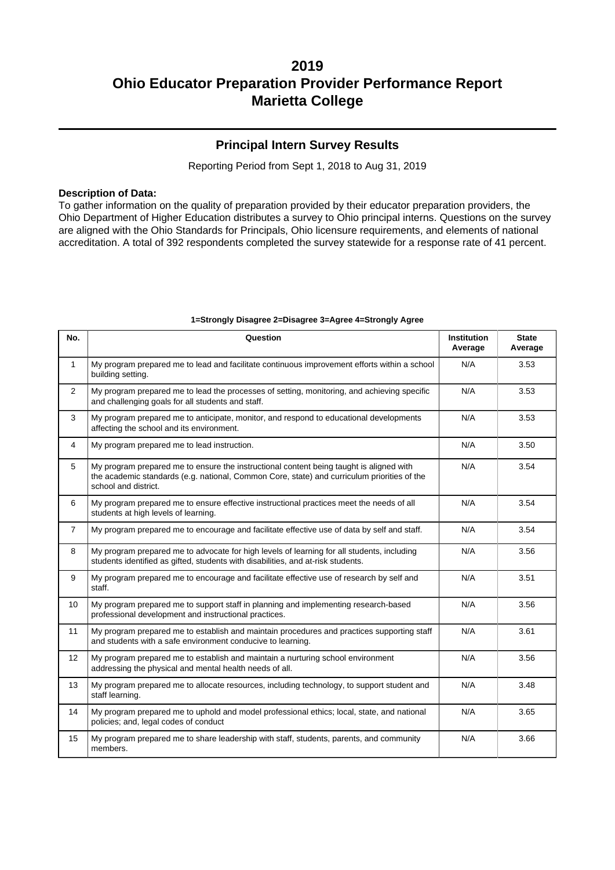### **Principal Intern Survey Results**

Reporting Period from Sept 1, 2018 to Aug 31, 2019

#### **Description of Data:**

To gather information on the quality of preparation provided by their educator preparation providers, the Ohio Department of Higher Education distributes a survey to Ohio principal interns. Questions on the survey are aligned with the Ohio Standards for Principals, Ohio licensure requirements, and elements of national accreditation. A total of 392 respondents completed the survey statewide for a response rate of 41 percent.

| No.            | Question                                                                                                                                                                                                       | <b>Institution</b><br>Average | <b>State</b><br>Average |  |
|----------------|----------------------------------------------------------------------------------------------------------------------------------------------------------------------------------------------------------------|-------------------------------|-------------------------|--|
| $\mathbf{1}$   | My program prepared me to lead and facilitate continuous improvement efforts within a school<br>building setting.                                                                                              | N/A                           | 3.53                    |  |
| 2              | My program prepared me to lead the processes of setting, monitoring, and achieving specific<br>and challenging goals for all students and staff.                                                               | N/A                           | 3.53                    |  |
| 3              | My program prepared me to anticipate, monitor, and respond to educational developments<br>affecting the school and its environment.                                                                            | N/A                           | 3.53                    |  |
| 4              | My program prepared me to lead instruction.                                                                                                                                                                    | N/A                           | 3.50                    |  |
| 5              | My program prepared me to ensure the instructional content being taught is aligned with<br>the academic standards (e.g. national, Common Core, state) and curriculum priorities of the<br>school and district. | N/A                           | 3.54                    |  |
| 6              | My program prepared me to ensure effective instructional practices meet the needs of all<br>students at high levels of learning.                                                                               | N/A                           | 3.54                    |  |
| $\overline{7}$ | My program prepared me to encourage and facilitate effective use of data by self and staff.                                                                                                                    | N/A                           | 3.54                    |  |
| 8              | My program prepared me to advocate for high levels of learning for all students, including<br>students identified as gifted, students with disabilities, and at-risk students.                                 | N/A                           | 3.56                    |  |
| 9              | My program prepared me to encourage and facilitate effective use of research by self and<br>staff.                                                                                                             | N/A                           | 3.51                    |  |
| 10             | My program prepared me to support staff in planning and implementing research-based<br>N/A<br>professional development and instructional practices.                                                            |                               | 3.56                    |  |
| 11             | My program prepared me to establish and maintain procedures and practices supporting staff<br>and students with a safe environment conducive to learning.                                                      | N/A                           | 3.61                    |  |
| 12             | My program prepared me to establish and maintain a nurturing school environment<br>addressing the physical and mental health needs of all.                                                                     | N/A                           | 3.56                    |  |
| 13             | N/A<br>My program prepared me to allocate resources, including technology, to support student and<br>staff learning.                                                                                           |                               |                         |  |
| 14             | My program prepared me to uphold and model professional ethics; local, state, and national<br>policies; and, legal codes of conduct                                                                            | N/A                           | 3.65                    |  |
| 15             | My program prepared me to share leadership with staff, students, parents, and community<br>members.                                                                                                            | N/A                           | 3.66                    |  |

#### **1=Strongly Disagree 2=Disagree 3=Agree 4=Strongly Agree**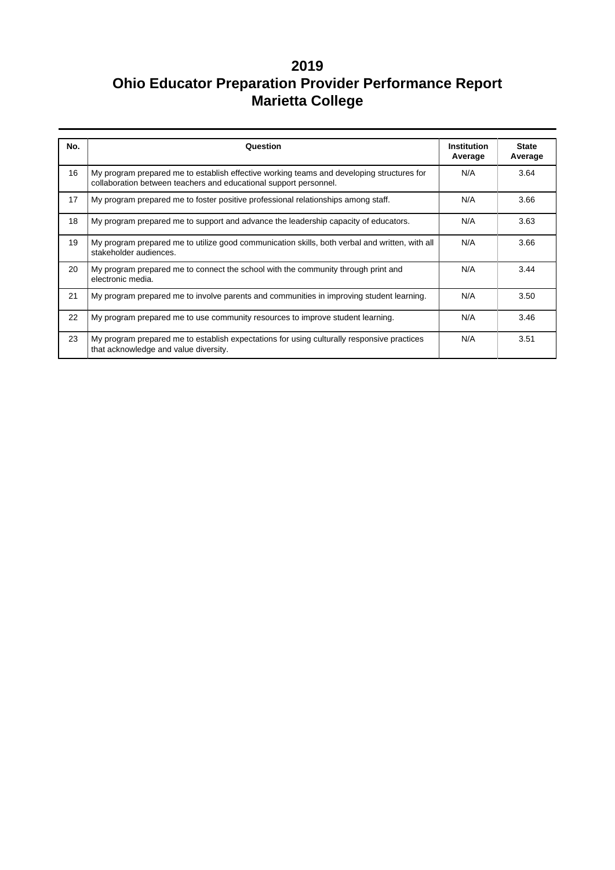| No. | Question                                                                                                                                                       | Institution<br>Average | <b>State</b><br>Average |
|-----|----------------------------------------------------------------------------------------------------------------------------------------------------------------|------------------------|-------------------------|
| 16  | My program prepared me to establish effective working teams and developing structures for<br>collaboration between teachers and educational support personnel. | N/A                    | 3.64                    |
| 17  | My program prepared me to foster positive professional relationships among staff.                                                                              | N/A                    | 3.66                    |
| 18  | My program prepared me to support and advance the leadership capacity of educators.                                                                            | N/A                    | 3.63                    |
| 19  | My program prepared me to utilize good communication skills, both verbal and written, with all<br>stakeholder audiences.                                       | N/A                    | 3.66                    |
| 20  | My program prepared me to connect the school with the community through print and<br>electronic media.                                                         | N/A                    | 3.44                    |
| 21  | My program prepared me to involve parents and communities in improving student learning.                                                                       | N/A                    | 3.50                    |
| 22  | My program prepared me to use community resources to improve student learning.                                                                                 | N/A                    | 3.46                    |
| 23  | My program prepared me to establish expectations for using culturally responsive practices<br>that acknowledge and value diversity.                            | N/A                    | 3.51                    |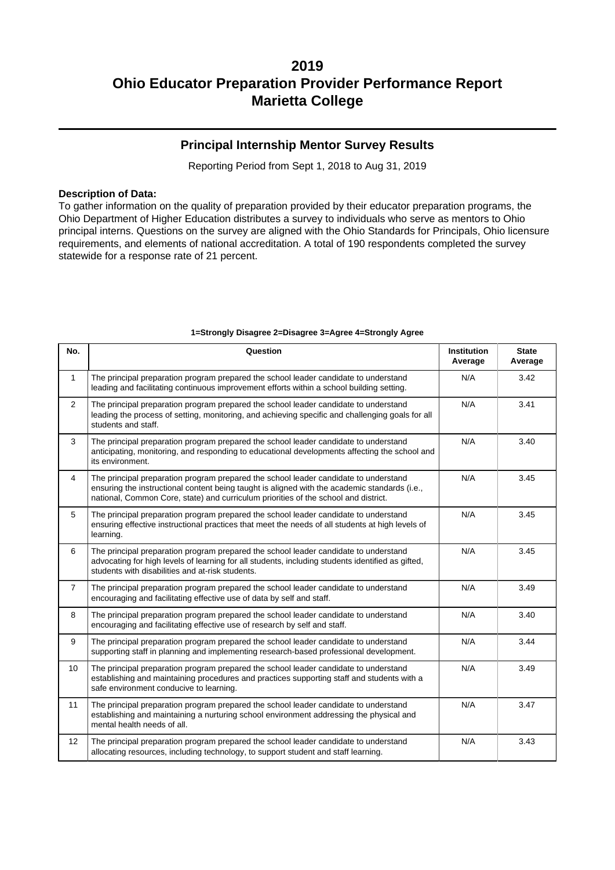### **Principal Internship Mentor Survey Results**

Reporting Period from Sept 1, 2018 to Aug 31, 2019

#### **Description of Data:**

To gather information on the quality of preparation provided by their educator preparation programs, the Ohio Department of Higher Education distributes a survey to individuals who serve as mentors to Ohio principal interns. Questions on the survey are aligned with the Ohio Standards for Principals, Ohio licensure requirements, and elements of national accreditation. A total of 190 respondents completed the survey statewide for a response rate of 21 percent.

| No.            | Question                                                                                                                                                                                                                                                                            | <b>Institution</b><br>Average | <b>State</b><br>Average |  |  |  |  |
|----------------|-------------------------------------------------------------------------------------------------------------------------------------------------------------------------------------------------------------------------------------------------------------------------------------|-------------------------------|-------------------------|--|--|--|--|
| $\mathbf{1}$   | The principal preparation program prepared the school leader candidate to understand<br>N/A<br>leading and facilitating continuous improvement efforts within a school building setting.                                                                                            |                               |                         |  |  |  |  |
| $\overline{2}$ | The principal preparation program prepared the school leader candidate to understand<br>leading the process of setting, monitoring, and achieving specific and challenging goals for all<br>students and staff.                                                                     | N/A                           | 3.41                    |  |  |  |  |
| 3              | The principal preparation program prepared the school leader candidate to understand<br>anticipating, monitoring, and responding to educational developments affecting the school and<br>its environment.                                                                           | N/A                           | 3.40                    |  |  |  |  |
| $\overline{4}$ | The principal preparation program prepared the school leader candidate to understand<br>N/A<br>ensuring the instructional content being taught is aligned with the academic standards (i.e.,<br>national, Common Core, state) and curriculum priorities of the school and district. |                               |                         |  |  |  |  |
| 5              | The principal preparation program prepared the school leader candidate to understand<br>ensuring effective instructional practices that meet the needs of all students at high levels of<br>learning.                                                                               | N/A                           | 3.45                    |  |  |  |  |
| 6              | The principal preparation program prepared the school leader candidate to understand<br>advocating for high levels of learning for all students, including students identified as gifted,<br>students with disabilities and at-risk students.                                       | N/A                           | 3.45                    |  |  |  |  |
| $\overline{7}$ | The principal preparation program prepared the school leader candidate to understand<br>encouraging and facilitating effective use of data by self and staff.                                                                                                                       | N/A                           | 3.49                    |  |  |  |  |
| 8              | The principal preparation program prepared the school leader candidate to understand<br>encouraging and facilitating effective use of research by self and staff.                                                                                                                   | N/A                           | 3.40                    |  |  |  |  |
| 9              | The principal preparation program prepared the school leader candidate to understand<br>supporting staff in planning and implementing research-based professional development.                                                                                                      | N/A                           | 3.44                    |  |  |  |  |
| 10             | The principal preparation program prepared the school leader candidate to understand<br>establishing and maintaining procedures and practices supporting staff and students with a<br>safe environment conducive to learning.                                                       | N/A                           | 3.49                    |  |  |  |  |
| 11             | The principal preparation program prepared the school leader candidate to understand<br>establishing and maintaining a nurturing school environment addressing the physical and<br>mental health needs of all.                                                                      | N/A                           | 3.47                    |  |  |  |  |
| 12             | The principal preparation program prepared the school leader candidate to understand<br>allocating resources, including technology, to support student and staff learning.                                                                                                          | N/A                           | 3.43                    |  |  |  |  |

#### **1=Strongly Disagree 2=Disagree 3=Agree 4=Strongly Agree**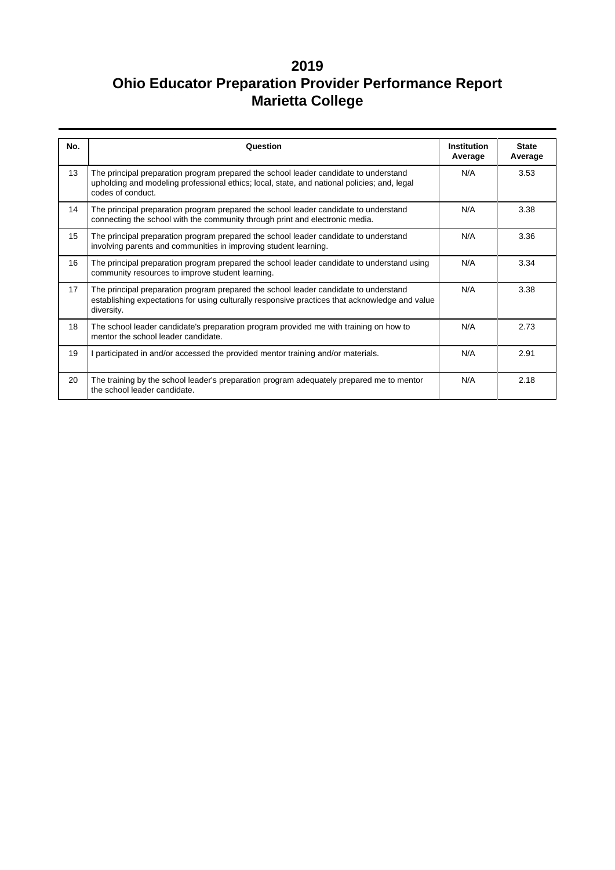| No. | Question                                                                                                                                                                                                 | <b>Institution</b><br>Average | <b>State</b><br>Average |
|-----|----------------------------------------------------------------------------------------------------------------------------------------------------------------------------------------------------------|-------------------------------|-------------------------|
| 13  | The principal preparation program prepared the school leader candidate to understand<br>upholding and modeling professional ethics; local, state, and national policies; and, legal<br>codes of conduct. | N/A                           | 3.53                    |
| 14  | The principal preparation program prepared the school leader candidate to understand<br>connecting the school with the community through print and electronic media.                                     | N/A                           | 3.38                    |
| 15  | The principal preparation program prepared the school leader candidate to understand<br>involving parents and communities in improving student learning.                                                 | N/A                           | 3.36                    |
| 16  | The principal preparation program prepared the school leader candidate to understand using<br>community resources to improve student learning.                                                           | N/A                           | 3.34                    |
| 17  | The principal preparation program prepared the school leader candidate to understand<br>establishing expectations for using culturally responsive practices that acknowledge and value<br>diversity.     | N/A                           | 3.38                    |
| 18  | The school leader candidate's preparation program provided me with training on how to<br>mentor the school leader candidate.                                                                             | N/A                           | 2.73                    |
| 19  | I participated in and/or accessed the provided mentor training and/or materials.                                                                                                                         | N/A                           | 2.91                    |
| 20  | The training by the school leader's preparation program adequately prepared me to mentor<br>the school leader candidate.                                                                                 | N/A                           | 2.18                    |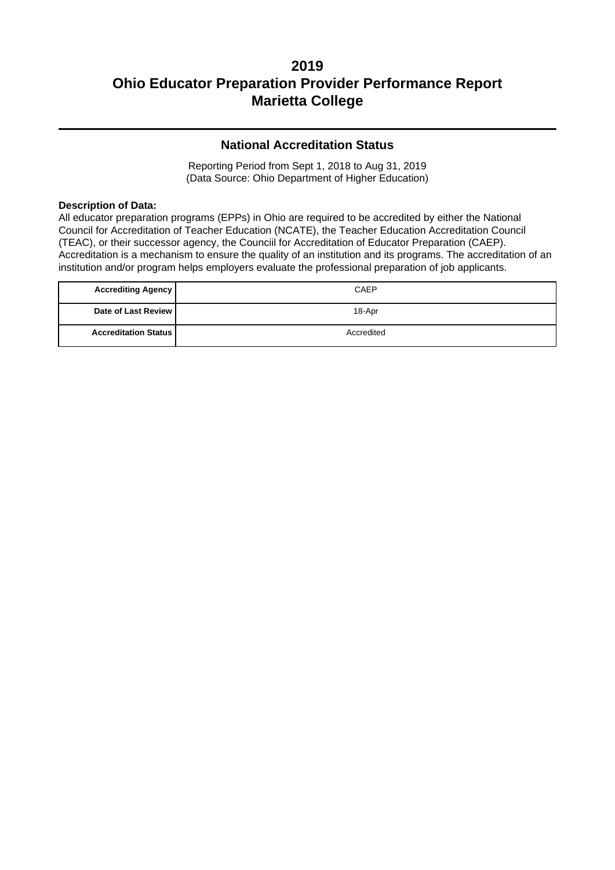### **National Accreditation Status**

Reporting Period from Sept 1, 2018 to Aug 31, 2019 (Data Source: Ohio Department of Higher Education)

#### **Description of Data:**

All educator preparation programs (EPPs) in Ohio are required to be accredited by either the National Council for Accreditation of Teacher Education (NCATE), the Teacher Education Accreditation Council (TEAC), or their successor agency, the Counciil for Accreditation of Educator Preparation (CAEP). Accreditation is a mechanism to ensure the quality of an institution and its programs. The accreditation of an institution and/or program helps employers evaluate the professional preparation of job applicants.

| <b>Accrediting Agency</b>   | CAEP       |
|-----------------------------|------------|
| Date of Last Review         | 18-Apr     |
| <b>Accreditation Status</b> | Accredited |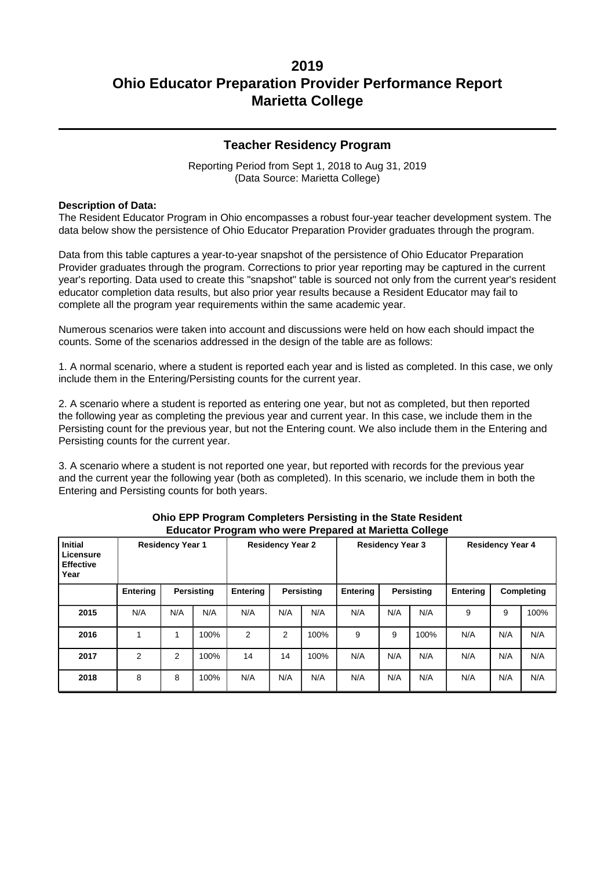### **Teacher Residency Program**

Reporting Period from Sept 1, 2018 to Aug 31, 2019 (Data Source: Marietta College)

#### **Description of Data:**

The Resident Educator Program in Ohio encompasses a robust four-year teacher development system. The data below show the persistence of Ohio Educator Preparation Provider graduates through the program.

Data from this table captures a year-to-year snapshot of the persistence of Ohio Educator Preparation Provider graduates through the program. Corrections to prior year reporting may be captured in the current year's reporting. Data used to create this "snapshot" table is sourced not only from the current year's resident educator completion data results, but also prior year results because a Resident Educator may fail to complete all the program year requirements within the same academic year.

Numerous scenarios were taken into account and discussions were held on how each should impact the counts. Some of the scenarios addressed in the design of the table are as follows:

1. A normal scenario, where a student is reported each year and is listed as completed. In this case, we only include them in the Entering/Persisting counts for the current year.

2. A scenario where a student is reported as entering one year, but not as completed, but then reported the following year as completing the previous year and current year. In this case, we include them in the Persisting count for the previous year, but not the Entering count. We also include them in the Entering and Persisting counts for the current year.

3. A scenario where a student is not reported one year, but reported with records for the previous year and the current year the following year (both as completed). In this scenario, we include them in both the Entering and Persisting counts for both years.

| <b>Initial</b><br>Licensure<br><b>Effective</b><br>Year | <b>Residency Year 1</b> |     |            | <b>Residency Year 2</b> |     |            | <b>Residency Year 3</b> |     |                   | <b>Residency Year 4</b> |     |            |
|---------------------------------------------------------|-------------------------|-----|------------|-------------------------|-----|------------|-------------------------|-----|-------------------|-------------------------|-----|------------|
|                                                         | Entering                |     | Persisting | <b>Entering</b>         |     | Persisting | Entering                |     | <b>Persisting</b> | Entering                |     | Completing |
| 2015                                                    | N/A                     | N/A | N/A        | N/A                     | N/A | N/A        | N/A                     | N/A | N/A               | 9                       | 9   | 100%       |
| 2016                                                    |                         |     | 100%       | 2                       | 2   | 100%       | 9                       | 9   | 100%              | N/A                     | N/A | N/A        |
| 2017                                                    | $\overline{2}$          | 2   | 100%       | 14                      | 14  | 100%       | N/A                     | N/A | N/A               | N/A                     | N/A | N/A        |
| 2018                                                    | 8                       | 8   | 100%       | N/A                     | N/A | N/A        | N/A                     | N/A | N/A               | N/A                     | N/A | N/A        |

#### **Ohio EPP Program Completers Persisting in the State Resident Educator Program who were Prepared at Marietta College**